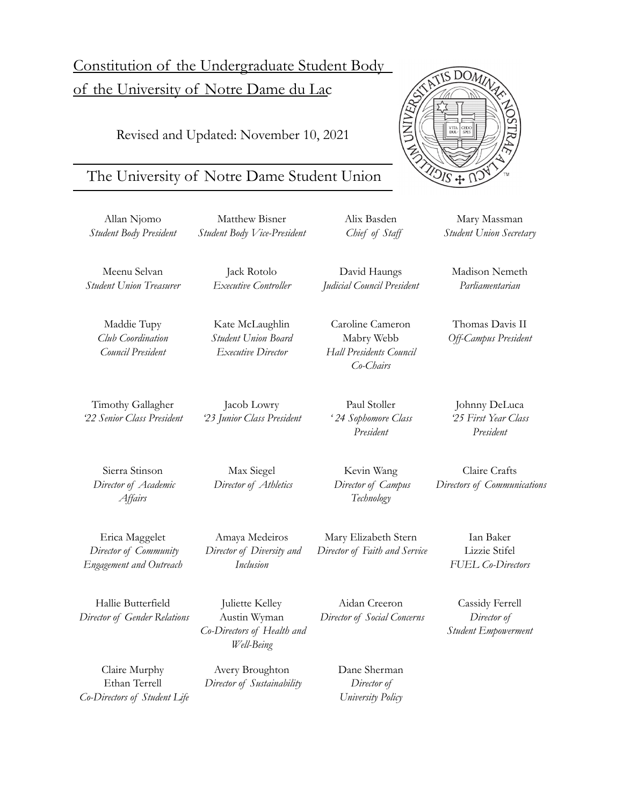# Constitution of the Undergraduate Student Body of the University of Notre Dame du Lac

Revised and Updated: November 10, 2021

# The University of Notre Dame Student Union

Allan Njomo *Student Body President*

Matthew Bisner *Student Body Vice-President*

> Jack Rotolo *Executive Controller*

Kate McLaughlin *Student Union Board Executive Director*

Meenu Selvan *Student Union Treasurer*

> Maddie Tupy *Club Coordination Council President*

Timothy Gallagher *'22 Senior Class President*

Sierra Stinson *Director of Academic Af airs*

Erica Maggelet *Director of Community Engagement and Outreach*

Max Siegel *Director of Athletics*

Jacob Lowry *'23 Junior Class President*

Amaya Medeiros *Director of Diversity and Inclusion*

Aidan Creeron *Director of Social Concerns*

> Dane Sherman *Director of University Policy*

*Student Union Secretary*

*Parliamentarian*

Thomas Davis II *Of -Campus President*

Johnny DeLuca *'25 First Year Class President*

Claire Crafts *Directors of Communications*

> Ian Baker Lizzie Stifel *FUEL Co-Directors*

Cassidy Ferrell *Director of Student Empowerment*

Hallie Butterfield *Director of Gender Relations*

Juliette Kelley Austin Wyman *Co-Directors of Health and*

Claire Murphy Ethan Terrell *Co-Directors of Student Life* *Well-Being*

Avery Broughton *Director of Sustainability*

David Haungs *Judicial Council President*

Alix Basden *Chief of Staf*

**INL** 

Caroline Cameron Mabry Webb *Hall Presidents Council Co-Chairs*

Paul Stoller *' 24 Sophomore Class President*

Kevin Wang

Mary Elizabeth Stern *Director of Faith and Service*

*Technology*

*Director of Campus*

Madison Nemeth



 $DOM$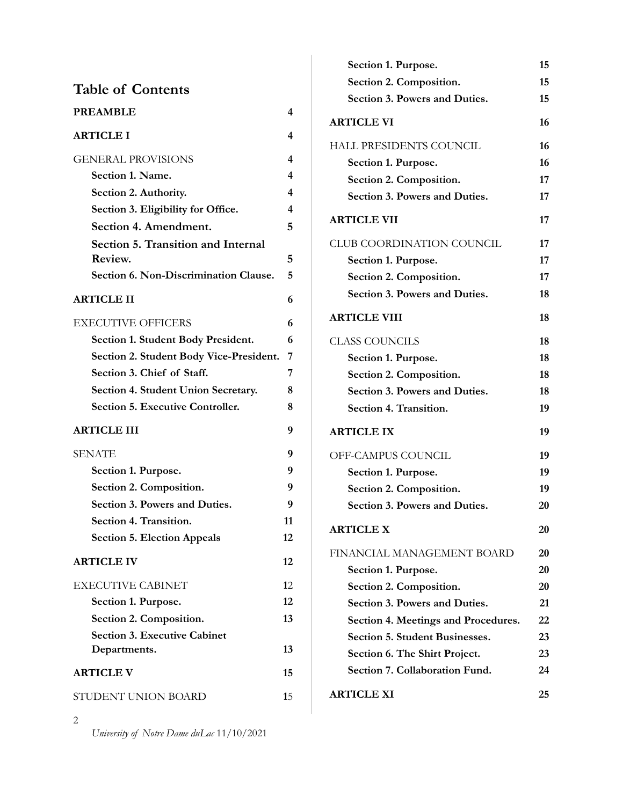| <b>Table of Contents</b>                      |    |
|-----------------------------------------------|----|
| <b>PREAMBLE</b>                               | 4  |
| <b>ARTICLE I</b>                              | 4  |
| <b>GENERAL PROVISIONS</b>                     | 4  |
| Section 1. Name.                              | 4  |
| Section 2. Authority.                         | 4  |
| Section 3. Eligibility for Office.            | 4  |
| Section 4. Amendment.                         | 5  |
| Section 5. Transition and Internal<br>Review. | 5  |
| Section 6. Non-Discrimination Clause.         | 5  |
| <b>ARTICLE II</b>                             | 6  |
| <b>EXECUTIVE OFFICERS</b>                     | 6  |
| Section 1. Student Body President.            | 6  |
| Section 2. Student Body Vice-President.       | 7  |
| Section 3. Chief of Staff.                    | 7  |
| Section 4. Student Union Secretary.           | 8  |
| <b>Section 5. Executive Controller.</b>       | 8  |
| <b>ARTICLE III</b>                            | 9  |
| <b>SENATE</b>                                 | 9  |
| Section 1. Purpose.                           | 9  |
| Section 2. Composition.                       | 9  |
| Section 3. Powers and Duties.                 | 9  |
| Section 4. Transition.                        | 11 |
| <b>Section 5. Election Appeals</b>            | 12 |
| <b>ARTICLE IV</b>                             | 12 |
| <b>EXECUTIVE CABINET</b>                      | 12 |
| Section 1. Purpose.                           | 12 |
| Section 2. Composition.                       | 13 |
| <b>Section 3. Executive Cabinet</b>           |    |
| Departments.                                  | 13 |
| <b>ARTICLE V</b>                              | 15 |
| STUDENT UNION BOARD                           | 15 |

| Section 1. Purpose.                   | 15 |
|---------------------------------------|----|
| Section 2. Composition.               | 15 |
| Section 3. Powers and Duties.         | 15 |
| <b>ARTICLE VI</b>                     | 16 |
| HALL PRESIDENTS COUNCIL               | 16 |
| Section 1. Purpose.                   | 16 |
| Section 2. Composition.               | 17 |
| Section 3. Powers and Duties.         | 17 |
| <b>ARTICLE VII</b>                    | 17 |
| CLUB COORDINATION COUNCIL             | 17 |
| Section 1. Purpose.                   | 17 |
| Section 2. Composition.               | 17 |
| Section 3. Powers and Duties.         | 18 |
| <b>ARTICLE VIII</b>                   | 18 |
| <b>CLASS COUNCILS</b>                 | 18 |
| Section 1. Purpose.                   | 18 |
| Section 2. Composition.               | 18 |
| Section 3. Powers and Duties.         | 18 |
| Section 4. Transition.                | 19 |
| <b>ARTICLE IX</b>                     | 19 |
| OFF-CAMPUS COUNCIL                    | 19 |
| Section 1. Purpose.                   | 19 |
| Section 2. Composition.               | 19 |
| Section 3. Powers and Duties.         | 20 |
| <b>ARTICLE X</b>                      | 20 |
| FINANCIAL MANAGEMENT BOARD            | 20 |
| Section 1. Purpose.                   | 20 |
| Section 2. Composition.               | 20 |
| Section 3. Powers and Duties.         | 21 |
| Section 4. Meetings and Procedures.   | 22 |
| <b>Section 5. Student Businesses.</b> | 23 |
| Section 6. The Shirt Project.         | 23 |
| Section 7. Collaboration Fund.        | 24 |
| <b>ARTICLE XI</b>                     | 25 |

2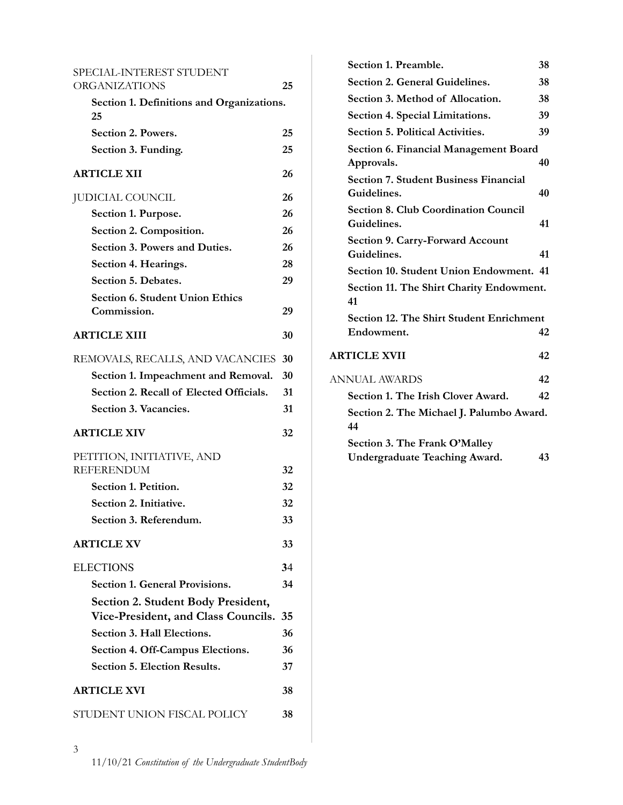| SPECIAL-INTEREST STUDENT                        |    |  |  |
|-------------------------------------------------|----|--|--|
| <b>ORGANIZATIONS</b>                            | 25 |  |  |
| Section 1. Definitions and Organizations.<br>25 |    |  |  |
| Section 2. Powers.                              | 25 |  |  |
| Section 3. Funding.                             | 25 |  |  |
| <b>ARTICLE XII</b>                              | 26 |  |  |
| <b>JUDICIAL COUNCIL</b>                         | 26 |  |  |
| Section 1. Purpose.                             | 26 |  |  |
| Section 2. Composition.                         | 26 |  |  |
| Section 3. Powers and Duties.                   | 26 |  |  |
| Section 4. Hearings.                            | 28 |  |  |
| Section 5. Debates.                             | 29 |  |  |
| <b>Section 6. Student Union Ethics</b>          |    |  |  |
| Commission.                                     | 29 |  |  |
| <b>ARTICLE XIII</b>                             | 30 |  |  |
| REMOVALS, RECALLS, AND VACANCIES                | 30 |  |  |
| Section 1. Impeachment and Removal.             | 30 |  |  |
| Section 2. Recall of Elected Officials.         | 31 |  |  |
| Section 3. Vacancies.                           | 31 |  |  |
| <b>ARTICLE XIV</b>                              | 32 |  |  |
| PETITION, INITIATIVE, AND                       |    |  |  |
| <b>REFERENDUM</b>                               | 32 |  |  |
| Section 1. Petition.                            | 32 |  |  |
| Section 2. Initiative.                          | 32 |  |  |
| Section 3. Referendum.                          | 33 |  |  |
| <b>ARTICLE XV</b>                               | 33 |  |  |
| <b>ELECTIONS</b>                                | 34 |  |  |
| <b>Section 1. General Provisions.</b>           | 34 |  |  |
| Section 2. Student Body President,              |    |  |  |
| Vice-President, and Class Councils.             | 35 |  |  |
| Section 3. Hall Elections.                      | 36 |  |  |
| Section 4. Off-Campus Elections.                | 36 |  |  |
| Section 5. Election Results.                    | 37 |  |  |
| <b>ARTICLE XVI</b>                              | 38 |  |  |
| STUDENT UNION FISCAL POLICY                     | 38 |  |  |

| Section 1. Preamble.                            | 38 |
|-------------------------------------------------|----|
| Section 2. General Guidelines.                  | 38 |
| Section 3. Method of Allocation.                | 38 |
| Section 4. Special Limitations.                 | 39 |
| <b>Section 5. Political Activities.</b>         | 39 |
| <b>Section 6. Financial Management Board</b>    |    |
| Approvals.                                      | 40 |
| <b>Section 7. Student Business Financial</b>    |    |
| Guidelines.                                     | 40 |
| <b>Section 8. Club Coordination Council</b>     |    |
| Guidelines.                                     | 41 |
| <b>Section 9. Carry-Forward Account</b>         |    |
| Guidelines.                                     | 41 |
| Section 10. Student Union Endowment. 41         |    |
| Section 11. The Shirt Charity Endowment.<br>41  |    |
| <b>Section 12. The Shirt Student Enrichment</b> |    |
| Endowment.                                      | 42 |
| <b>ARTICLE XVII</b>                             | 42 |
| <b>ANNUAL AWARDS</b>                            | 42 |
| Section 1. The Irish Clover Award.              | 42 |
| Section 2. The Michael J. Palumbo Award.<br>44  |    |
| Section 3. The Frank O'Malley                   |    |
| <b>Undergraduate Teaching Award.</b>            | 43 |
|                                                 |    |
|                                                 |    |
|                                                 |    |

3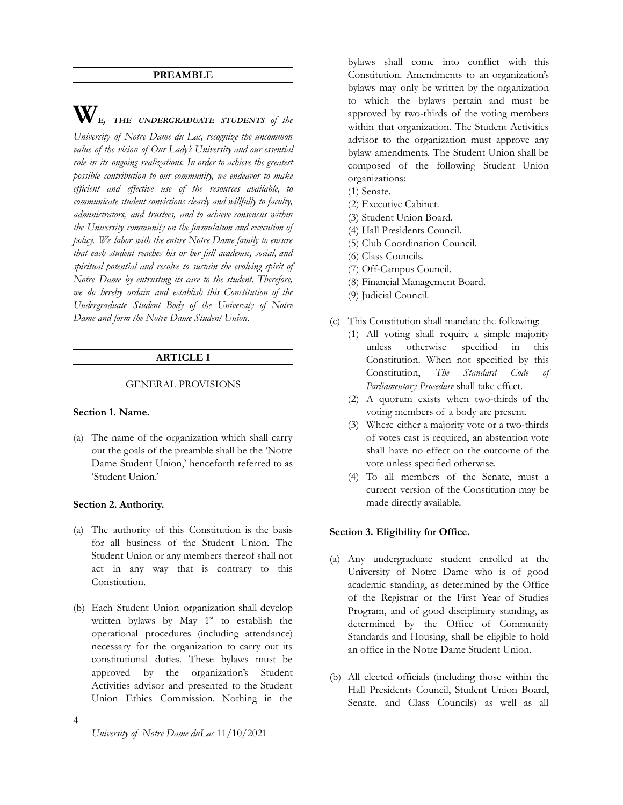#### **PREAMBLE**

<span id="page-3-0"></span>**W***E, THE UNDERGRADUATE STUDENTS of the University of Notre Dame du Lac, recognize the uncommon value of the vision of Our Lady's University and our essential role in its ongoing realizations. In order to achieve the greatest possible contribution to our community, we endeavor to make efficient and effective use of the resources available, to communicate student convictions clearly and willfully to faculty, administrators, and trustees, and to achieve consensus within the University community on the formulation and execution of policy. We labor with the entire Notre Dame family to ensure that each student reaches his or her full academic, social, and spiritual potential and resolve to sustain the evolving spirit of Notre Dame by entrusting its care to the student. Therefore, we do hereby ordain and establish this Constitution of the Undergraduate Student Body of the University of Notre Dame and form the Notre Dame Student Union.*

#### **ARTICLE I**

#### <span id="page-3-1"></span>GENERAL PROVISIONS

#### <span id="page-3-3"></span><span id="page-3-2"></span>**Section 1. Name.**

(a) The name of the organization which shall carry out the goals of the preamble shall be the 'Notre Dame Student Union,' henceforth referred to as 'Student Union.'

#### <span id="page-3-4"></span>**Section 2. Authority.**

- (a) The authority of this Constitution is the basis for all business of the Student Union. The Student Union or any members thereof shall not act in any way that is contrary to this Constitution.
- (b) Each Student Union organization shall develop written bylaws by May  $1<sup>st</sup>$  to establish the operational procedures (including attendance) necessary for the organization to carry out its constitutional duties. These bylaws must be approved by the organization's Student Activities advisor and presented to the Student Union Ethics Commission. Nothing in the

bylaws shall come into conflict with this Constitution. Amendments to an organization's bylaws may only be written by the organization to which the bylaws pertain and must be approved by two-thirds of the voting members within that organization. The Student Activities advisor to the organization must approve any bylaw amendments. The Student Union shall be composed of the following Student Union organizations:

- (1) Senate.
- (2) Executive Cabinet.
- (3) Student Union Board.
- (4) Hall Presidents Council.
- (5) Club Coordination Council.
- (6) Class Councils.
- (7) Off-Campus Council.
- (8) Financial Management Board.
- (9) Judicial Council.
- (c) This Constitution shall mandate the following:
	- (1) All voting shall require a simple majority unless otherwise specified in this Constitution. When not specified by this Constitution, *The Standard Code of Parliamentary Procedure* shall take effect.
	- (2) A quorum exists when two-thirds of the voting members of a body are present.
	- (3) Where either a majority vote or a two-thirds of votes cast is required, an abstention vote shall have no effect on the outcome of the vote unless specified otherwise.
	- (4) To all members of the Senate, must a current version of the Constitution may be made directly available.

#### <span id="page-3-5"></span>**Section 3. Eligibility for Office.**

- (a) Any undergraduate student enrolled at the University of Notre Dame who is of good academic standing, as determined by the Office of the Registrar or the First Year of Studies Program, and of good disciplinary standing, as determined by the Office of Community Standards and Housing, shall be eligible to hold an office in the Notre Dame Student Union.
- (b) All elected officials (including those within the Hall Presidents Council, Student Union Board, Senate, and Class Councils) as well as all

4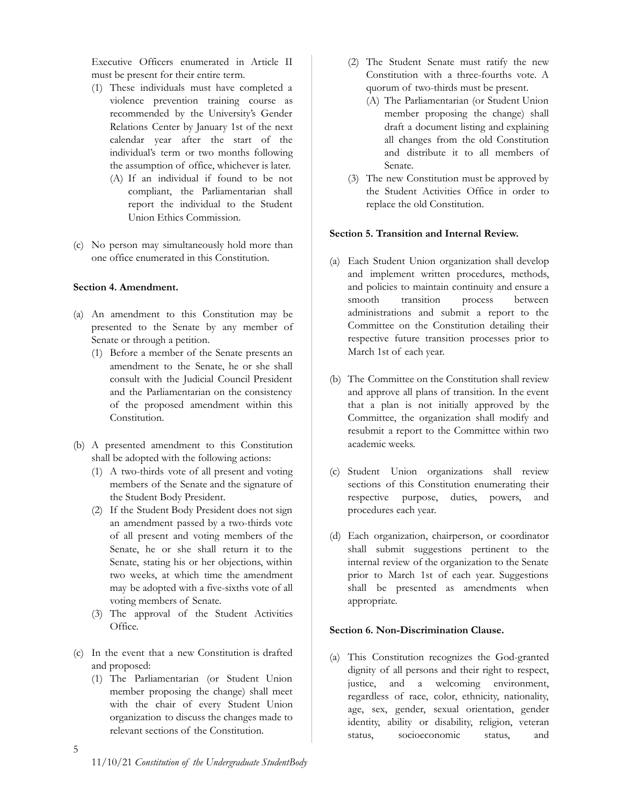Executive Officers enumerated in Article II must be present for their entire term.

- (1) These individuals must have completed a violence prevention training course as recommended by the University's Gender Relations Center by January 1st of the next calendar year after the start of the individual's term or two months following the assumption of office, whichever is later.
	- (A) If an individual if found to be not compliant, the Parliamentarian shall report the individual to the Student Union Ethics Commission.
- (c) No person may simultaneously hold more than one office enumerated in this Constitution.

# <span id="page-4-0"></span>**Section 4. Amendment.**

- (a) An amendment to this Constitution may be presented to the Senate by any member of Senate or through a petition.
	- (1) Before a member of the Senate presents an amendment to the Senate, he or she shall consult with the Judicial Council President and the Parliamentarian on the consistency of the proposed amendment within this Constitution.
- (b) A presented amendment to this Constitution shall be adopted with the following actions:
	- (1) A two-thirds vote of all present and voting members of the Senate and the signature of the Student Body President.
	- (2) If the Student Body President does not sign an amendment passed by a two-thirds vote of all present and voting members of the Senate, he or she shall return it to the Senate, stating his or her objections, within two weeks, at which time the amendment may be adopted with a five-sixths vote of all voting members of Senate.
	- (3) The approval of the Student Activities Office.
- (c) In the event that a new Constitution is drafted and proposed:
	- (1) The Parliamentarian (or Student Union member proposing the change) shall meet with the chair of every Student Union organization to discuss the changes made to relevant sections of the Constitution.
- (2) The Student Senate must ratify the new Constitution with a three-fourths vote. A quorum of two-thirds must be present.
	- (A) The Parliamentarian (or Student Union member proposing the change) shall draft a document listing and explaining all changes from the old Constitution and distribute it to all members of Senate.
- (3) The new Constitution must be approved by the Student Activities Office in order to replace the old Constitution.

# <span id="page-4-1"></span>**Section 5. Transition and Internal Review.**

- (a) Each Student Union organization shall develop and implement written procedures, methods, and policies to maintain continuity and ensure a smooth transition process between administrations and submit a report to the Committee on the Constitution detailing their respective future transition processes prior to March 1st of each year.
- (b) The Committee on the Constitution shall review and approve all plans of transition. In the event that a plan is not initially approved by the Committee, the organization shall modify and resubmit a report to the Committee within two academic weeks.
- (c) Student Union organizations shall review sections of this Constitution enumerating their respective purpose, duties, powers, and procedures each year.
- (d) Each organization, chairperson, or coordinator shall submit suggestions pertinent to the internal review of the organization to the Senate prior to March 1st of each year. Suggestions shall be presented as amendments when appropriate.

# <span id="page-4-2"></span>**Section 6. Non-Discrimination Clause.**

(a) This Constitution recognizes the God-granted dignity of all persons and their right to respect, justice, and a welcoming environment, regardless of race, color, ethnicity, nationality, age, sex, gender, sexual orientation, gender identity, ability or disability, religion, veteran status, socioeconomic status, and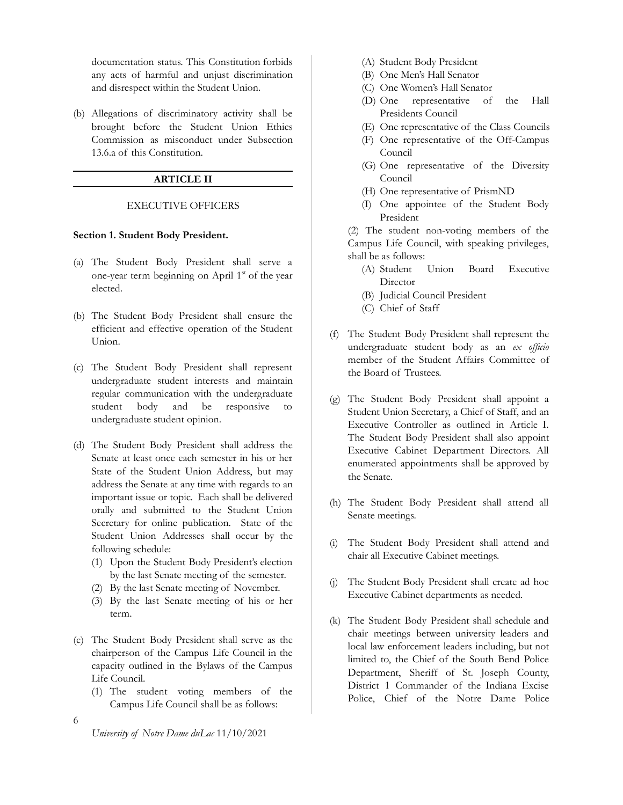documentation status. This Constitution forbids any acts of harmful and unjust discrimination and disrespect within the Student Union.

<span id="page-5-0"></span>(b) Allegations of discriminatory activity shall be brought before the Student Union Ethics Commission as misconduct under Subsection 13.6.a of this Constitution.

# **ARTICLE II**

#### EXECUTIVE OFFICERS

#### <span id="page-5-2"></span><span id="page-5-1"></span>**Section 1. Student Body President.**

- (a) The Student Body President shall serve a one-year term beginning on April 1<sup>st</sup> of the year elected.
- (b) The Student Body President shall ensure the efficient and effective operation of the Student Union.
- (c) The Student Body President shall represent undergraduate student interests and maintain regular communication with the undergraduate student body and be responsive to undergraduate student opinion.
- (d) The Student Body President shall address the Senate at least once each semester in his or her State of the Student Union Address, but may address the Senate at any time with regards to an important issue or topic. Each shall be delivered orally and submitted to the Student Union Secretary for online publication. State of the Student Union Addresses shall occur by the following schedule:
	- (1) Upon the Student Body President's election by the last Senate meeting of the semester.
	- (2) By the last Senate meeting of November.
	- (3) By the last Senate meeting of his or her term.
- (e) The Student Body President shall serve as the chairperson of the Campus Life Council in the capacity outlined in the Bylaws of the Campus Life Council.
	- (1) The student voting members of the Campus Life Council shall be as follows:
- (A) Student Body President
- (B) One Men's Hall Senator
- (C) One Women's Hall Senator
- (D) One representative of the Hall Presidents Council
- (E) One representative of the Class Councils
- (F) One representative of the Off-Campus Council
- (G) One representative of the Diversity Council
- (H) One representative of PrismND
- (I) One appointee of the Student Body President

(2) The student non-voting members of the Campus Life Council, with speaking privileges, shall be as follows:

- (A) Student Union Board Executive **Director**
- (B) Judicial Council President
- (C) Chief of Staff
- (f) The Student Body President shall represent the undergraduate student body as an *ex officio* member of the Student Affairs Committee of the Board of Trustees.
- (g) The Student Body President shall appoint a Student Union Secretary, a Chief of Staff, and an Executive Controller as outlined in Article I. The Student Body President shall also appoint Executive Cabinet Department Directors. All enumerated appointments shall be approved by the Senate.
- (h) The Student Body President shall attend all Senate meetings.
- (i) The Student Body President shall attend and chair all Executive Cabinet meetings.
- (j) The Student Body President shall create ad hoc Executive Cabinet departments as needed.
- (k) The Student Body President shall schedule and chair meetings between university leaders and local law enforcement leaders including, but not limited to, the Chief of the South Bend Police Department, Sheriff of St. Joseph County, District 1 Commander of the Indiana Excise Police, Chief of the Notre Dame Police

6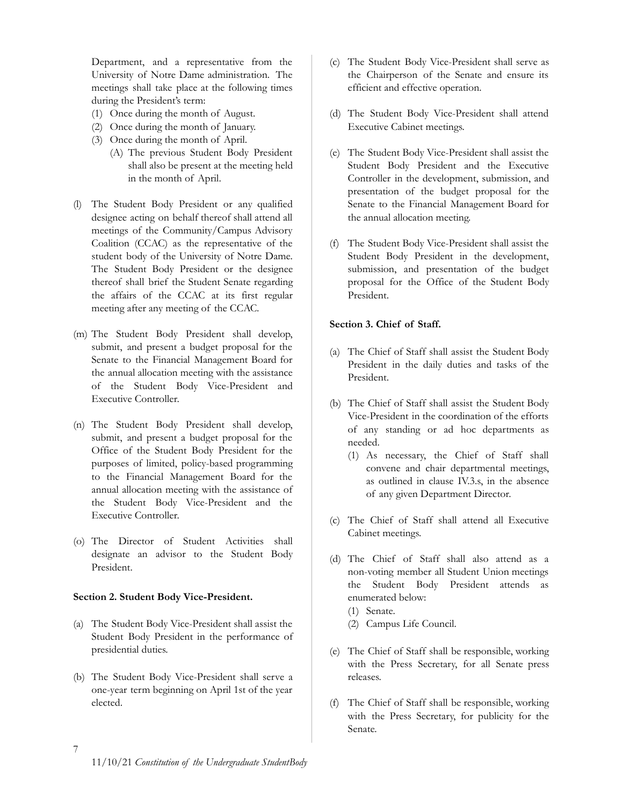Department, and a representative from the University of Notre Dame administration. The meetings shall take place at the following times during the President's term:

- (1) Once during the month of August.
- (2) Once during the month of January.
- (3) Once during the month of April.
	- (A) The previous Student Body President shall also be present at the meeting held in the month of April.
- (l) The Student Body President or any qualified designee acting on behalf thereof shall attend all meetings of the Community/Campus Advisory Coalition (CCAC) as the representative of the student body of the University of Notre Dame. The Student Body President or the designee thereof shall brief the Student Senate regarding the affairs of the CCAC at its first regular meeting after any meeting of the CCAC.
- (m) The Student Body President shall develop, submit, and present a budget proposal for the Senate to the Financial Management Board for the annual allocation meeting with the assistance of the Student Body Vice-President and Executive Controller.
- (n) The Student Body President shall develop, submit, and present a budget proposal for the Office of the Student Body President for the purposes of limited, policy-based programming to the Financial Management Board for the annual allocation meeting with the assistance of the Student Body Vice-President and the Executive Controller.
- (o) The Director of Student Activities shall designate an advisor to the Student Body President.

# <span id="page-6-0"></span>**Section 2. Student Body Vice-President.**

- (a) The Student Body Vice-President shall assist the Student Body President in the performance of presidential duties.
- (b) The Student Body Vice-President shall serve a one-year term beginning on April 1st of the year elected.
- (c) The Student Body Vice-President shall serve as the Chairperson of the Senate and ensure its efficient and effective operation.
- (d) The Student Body Vice-President shall attend Executive Cabinet meetings.
- (e) The Student Body Vice-President shall assist the Student Body President and the Executive Controller in the development, submission, and presentation of the budget proposal for the Senate to the Financial Management Board for the annual allocation meeting.
- (f) The Student Body Vice-President shall assist the Student Body President in the development, submission, and presentation of the budget proposal for the Office of the Student Body President.

# <span id="page-6-1"></span>**Section 3. Chief of Staff.**

- (a) The Chief of Staff shall assist the Student Body President in the daily duties and tasks of the President.
- (b) The Chief of Staff shall assist the Student Body Vice-President in the coordination of the efforts of any standing or ad hoc departments as needed.
	- (1) As necessary, the Chief of Staff shall convene and chair departmental meetings, as outlined in clause IV.3.s, in the absence of any given Department Director.
- (c) The Chief of Staff shall attend all Executive Cabinet meetings.
- (d) The Chief of Staff shall also attend as a non-voting member all Student Union meetings the Student Body President attends as enumerated below:
	- (1) Senate.
	- (2) Campus Life Council.
- (e) The Chief of Staff shall be responsible, working with the Press Secretary, for all Senate press releases.
- (f) The Chief of Staff shall be responsible, working with the Press Secretary, for publicity for the Senate.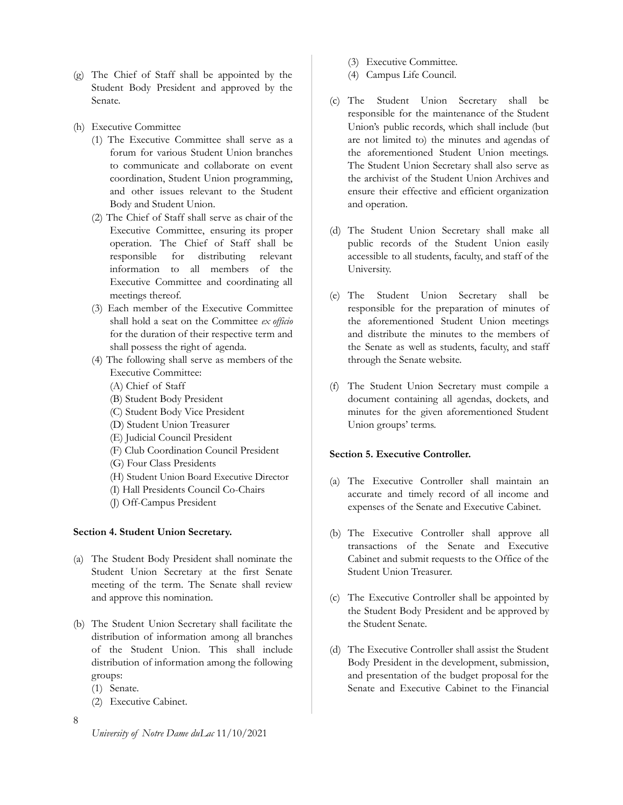- (g) The Chief of Staff shall be appointed by the Student Body President and approved by the Senate.
- (h) Executive Committee
	- (1) The Executive Committee shall serve as a forum for various Student Union branches to communicate and collaborate on event coordination, Student Union programming, and other issues relevant to the Student Body and Student Union.
	- (2) The Chief of Staff shall serve as chair of the Executive Committee, ensuring its proper operation. The Chief of Staff shall be responsible for distributing relevant information to all members of the Executive Committee and coordinating all meetings thereof.
	- (3) Each member of the Executive Committee shall hold a seat on the Committee *ex officio* for the duration of their respective term and shall possess the right of agenda.
	- (4) The following shall serve as members of the Executive Committee:
		- (A) Chief of Staff
		- (B) Student Body President
		- (C) Student Body Vice President
		- (D) Student Union Treasurer
		- (E) Judicial Council President
		- (F) Club Coordination Council President
		- (G) Four Class Presidents
		- (H) Student Union Board Executive Director
		- (I) Hall Presidents Council Co-Chairs
		- (J) Off-Campus President

# <span id="page-7-0"></span>**Section 4. Student Union Secretary.**

- (a) The Student Body President shall nominate the Student Union Secretary at the first Senate meeting of the term. The Senate shall review and approve this nomination.
- (b) The Student Union Secretary shall facilitate the distribution of information among all branches of the Student Union. This shall include distribution of information among the following groups:
	- (1) Senate.
	- (2) Executive Cabinet.
- 8
- (3) Executive Committee.
- (4) Campus Life Council.
- (c) The Student Union Secretary shall be responsible for the maintenance of the Student Union's public records, which shall include (but are not limited to) the minutes and agendas of the aforementioned Student Union meetings. The Student Union Secretary shall also serve as the archivist of the Student Union Archives and ensure their effective and efficient organization and operation.
- (d) The Student Union Secretary shall make all public records of the Student Union easily accessible to all students, faculty, and staff of the University.
- (e) The Student Union Secretary shall be responsible for the preparation of minutes of the aforementioned Student Union meetings and distribute the minutes to the members of the Senate as well as students, faculty, and staff through the Senate website.
- (f) The Student Union Secretary must compile a document containing all agendas, dockets, and minutes for the given aforementioned Student Union groups' terms.

# <span id="page-7-1"></span>**Section 5. Executive Controller.**

- (a) The Executive Controller shall maintain an accurate and timely record of all income and expenses of the Senate and Executive Cabinet.
- (b) The Executive Controller shall approve all transactions of the Senate and Executive Cabinet and submit requests to the Office of the Student Union Treasurer.
- (c) The Executive Controller shall be appointed by the Student Body President and be approved by the Student Senate.
- (d) The Executive Controller shall assist the Student Body President in the development, submission, and presentation of the budget proposal for the Senate and Executive Cabinet to the Financial

*University of Notre Dame duLac* 11/10/2021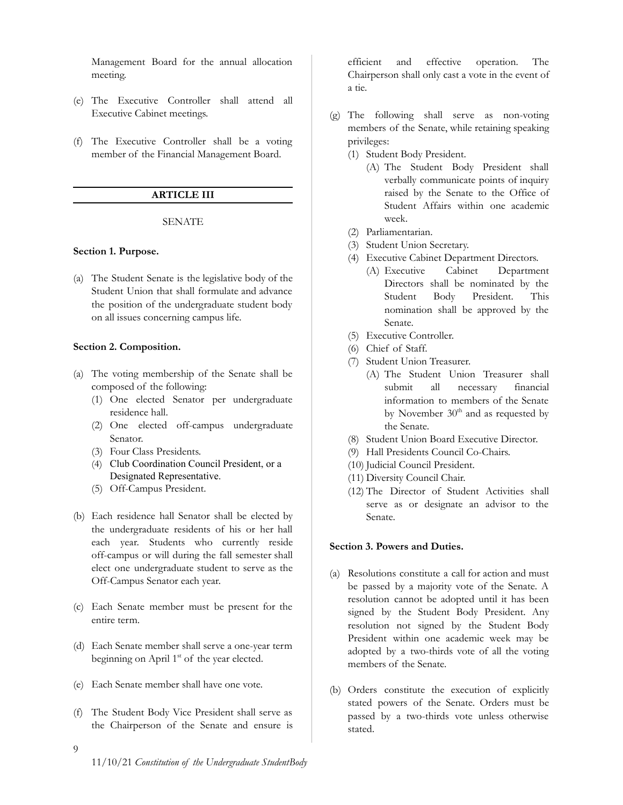Management Board for the annual allocation meeting.

- (e) The Executive Controller shall attend all Executive Cabinet meetings.
- <span id="page-8-0"></span>(f) The Executive Controller shall be a voting member of the Financial Management Board.

# **ARTICLE III**

#### SENATE

#### <span id="page-8-2"></span><span id="page-8-1"></span>**Section 1. Purpose.**

(a) The Student Senate is the legislative body of the Student Union that shall formulate and advance the position of the undergraduate student body on all issues concerning campus life.

#### <span id="page-8-3"></span>**Section 2. Composition.**

- (a) The voting membership of the Senate shall be composed of the following:
	- (1) One elected Senator per undergraduate residence hall.
	- (2) One elected off-campus undergraduate Senator.
	- (3) Four Class Presidents.
	- (4) Club Coordination Council President, or a Designated Representative.
	- (5) Off-Campus President.
- (b) Each residence hall Senator shall be elected by the undergraduate residents of his or her hall each year. Students who currently reside off-campus or will during the fall semester shall elect one undergraduate student to serve as the Off-Campus Senator each year.
- (c) Each Senate member must be present for the entire term.
- (d) Each Senate member shall serve a one-year term beginning on April 1<sup>st</sup> of the year elected.
- (e) Each Senate member shall have one vote.
- (f) The Student Body Vice President shall serve as the Chairperson of the Senate and ensure is

efficient and effective operation. The Chairperson shall only cast a vote in the event of a tie.

- (g) The following shall serve as non-voting members of the Senate, while retaining speaking privileges:
	- (1) Student Body President.
		- (A) The Student Body President shall verbally communicate points of inquiry raised by the Senate to the Office of Student Affairs within one academic week.
	- (2) Parliamentarian.
	- (3) Student Union Secretary.
	- (4) Executive Cabinet Department Directors.
		- (A) Executive Cabinet Department Directors shall be nominated by the Student Body President. This nomination shall be approved by the Senate.
	- (5) Executive Controller.
	- (6) Chief of Staff.
	- (7) Student Union Treasurer.
		- (A) The Student Union Treasurer shall submit all necessary financial information to members of the Senate by November  $30<sup>th</sup>$  and as requested by the Senate.
	- (8) Student Union Board Executive Director.
	- (9) Hall Presidents Council Co-Chairs.
	- (10) Judicial Council President.
	- (11) Diversity Council Chair.
	- (12) The Director of Student Activities shall serve as or designate an advisor to the Senate.

#### <span id="page-8-4"></span>**Section 3. Powers and Duties.**

- (a) Resolutions constitute a call for action and must be passed by a majority vote of the Senate. A resolution cannot be adopted until it has been signed by the Student Body President. Any resolution not signed by the Student Body President within one academic week may be adopted by a two-thirds vote of all the voting members of the Senate.
- (b) Orders constitute the execution of explicitly stated powers of the Senate. Orders must be passed by a two-thirds vote unless otherwise stated.

9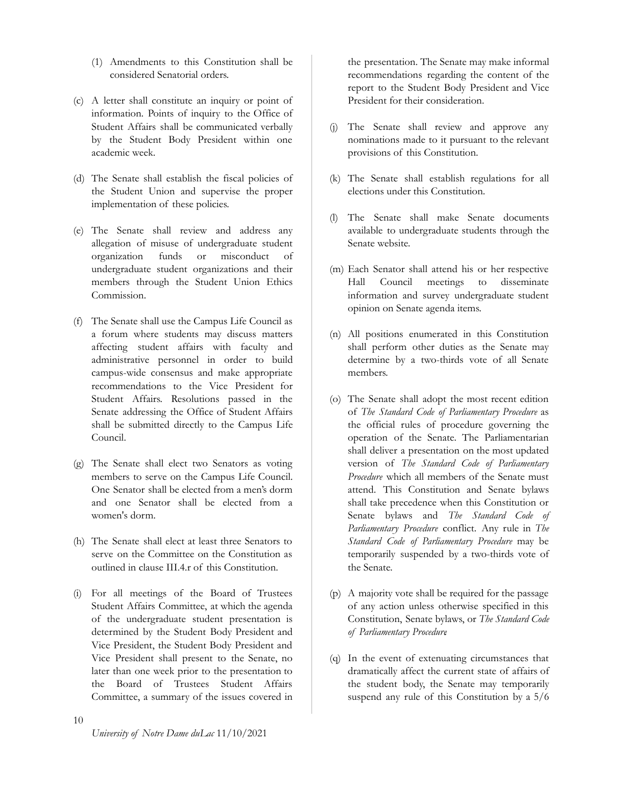- (1) Amendments to this Constitution shall be considered Senatorial orders.
- (c) A letter shall constitute an inquiry or point of information. Points of inquiry to the Office of Student Affairs shall be communicated verbally by the Student Body President within one academic week.
- (d) The Senate shall establish the fiscal policies of the Student Union and supervise the proper implementation of these policies.
- (e) The Senate shall review and address any allegation of misuse of undergraduate student organization funds or misconduct of undergraduate student organizations and their members through the Student Union Ethics Commission.
- (f) The Senate shall use the Campus Life Council as a forum where students may discuss matters affecting student affairs with faculty and administrative personnel in order to build campus-wide consensus and make appropriate recommendations to the Vice President for Student Affairs. Resolutions passed in the Senate addressing the Office of Student Affairs shall be submitted directly to the Campus Life Council.
- (g) The Senate shall elect two Senators as voting members to serve on the Campus Life Council. One Senator shall be elected from a men's dorm and one Senator shall be elected from a women's dorm.
- (h) The Senate shall elect at least three Senators to serve on the Committee on the Constitution as outlined in clause III.4.r of this Constitution.
- (i) For all meetings of the Board of Trustees Student Affairs Committee, at which the agenda of the undergraduate student presentation is determined by the Student Body President and Vice President, the Student Body President and Vice President shall present to the Senate, no later than one week prior to the presentation to the Board of Trustees Student Affairs Committee, a summary of the issues covered in

the presentation. The Senate may make informal recommendations regarding the content of the report to the Student Body President and Vice President for their consideration.

- (j) The Senate shall review and approve any nominations made to it pursuant to the relevant provisions of this Constitution.
- (k) The Senate shall establish regulations for all elections under this Constitution.
- (l) The Senate shall make Senate documents available to undergraduate students through the Senate website.
- (m) Each Senator shall attend his or her respective Hall Council meetings to disseminate information and survey undergraduate student opinion on Senate agenda items.
- (n) All positions enumerated in this Constitution shall perform other duties as the Senate may determine by a two-thirds vote of all Senate members.
- (o) The Senate shall adopt the most recent edition of *The Standard Code of Parliamentary Procedure* as the official rules of procedure governing the operation of the Senate. The Parliamentarian shall deliver a presentation on the most updated version of *The Standard Code of Parliamentary Procedure* which all members of the Senate must attend. This Constitution and Senate bylaws shall take precedence when this Constitution or Senate bylaws and *The Standard Code of Parliamentary Procedure* conflict. Any rule in *The Standard Code of Parliamentary Procedure* may be temporarily suspended by a two-thirds vote of the Senate.
- (p) A majority vote shall be required for the passage of any action unless otherwise specified in this Constitution, Senate bylaws, or *The Standard Code of Parliamentary Procedure*.
- (q) In the event of extenuating circumstances that dramatically affect the current state of affairs of the student body, the Senate may temporarily suspend any rule of this Constitution by a 5/6

10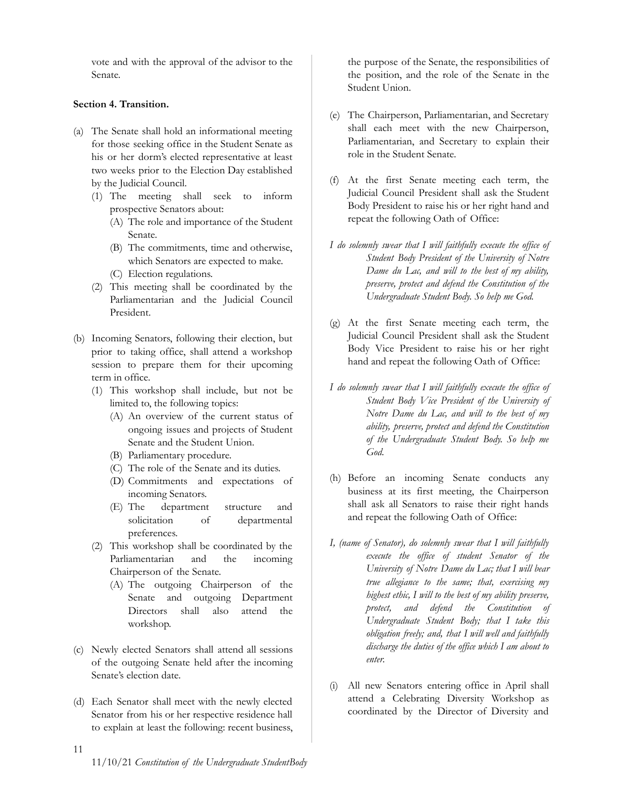vote and with the approval of the advisor to the Senate.

# <span id="page-10-0"></span>**Section 4. Transition.**

- (a) The Senate shall hold an informational meeting for those seeking office in the Student Senate as his or her dorm's elected representative at least two weeks prior to the Election Day established by the Judicial Council.
	- (1) The meeting shall seek to inform prospective Senators about:
		- (A) The role and importance of the Student Senate.
		- (B) The commitments, time and otherwise, which Senators are expected to make.
		- (C) Election regulations.
	- (2) This meeting shall be coordinated by the Parliamentarian and the Judicial Council President.
- (b) Incoming Senators, following their election, but prior to taking office, shall attend a workshop session to prepare them for their upcoming term in office.
	- (1) This workshop shall include, but not be limited to, the following topics:
		- (A) An overview of the current status of ongoing issues and projects of Student Senate and the Student Union.
		- (B) Parliamentary procedure.
		- (C) The role of the Senate and its duties.
		- (D) Commitments and expectations of incoming Senators.
		- (E) The department structure and solicitation of departmental preferences.
	- (2) This workshop shall be coordinated by the Parliamentarian and the incoming Chairperson of the Senate.
		- (A) The outgoing Chairperson of the Senate and outgoing Department Directors shall also attend the workshop.
- (c) Newly elected Senators shall attend all sessions of the outgoing Senate held after the incoming Senate's election date.
- (d) Each Senator shall meet with the newly elected Senator from his or her respective residence hall to explain at least the following: recent business,

the purpose of the Senate, the responsibilities of the position, and the role of the Senate in the Student Union.

- (e) The Chairperson, Parliamentarian, and Secretary shall each meet with the new Chairperson, Parliamentarian, and Secretary to explain their role in the Student Senate.
- (f) At the first Senate meeting each term, the Judicial Council President shall ask the Student Body President to raise his or her right hand and repeat the following Oath of Office:
- *I do solemnly swear that I will faithfully execute the office of Student Body President of the University of Notre Dame du Lac, and will to the best of my ability, preserve, protect and defend the Constitution of the Undergraduate Student Body. So help me God.*
- (g) At the first Senate meeting each term, the Judicial Council President shall ask the Student Body Vice President to raise his or her right hand and repeat the following Oath of Office:
- *I do solemnly swear that I will faithfully execute the office of Student Body Vice President of the University of Notre Dame du Lac, and will to the best of my ability, preserve, protect and defend the Constitution of the Undergraduate Student Body. So help me God.*
- (h) Before an incoming Senate conducts any business at its first meeting, the Chairperson shall ask all Senators to raise their right hands and repeat the following Oath of Office:
- *I, (name of Senator), do solemnly swear that I will faithfully execute the office of student Senator of the University of Notre Dame du Lac; that I will bear true allegiance to the same; that, exercising my highest ethic, I will to the best of my ability preserve, protect, and defend the Constitution of Undergraduate Student Body; that I take this obligation freely; and, that I will well and faithfully discharge the duties of the office which I am about to enter.*
- (i) All new Senators entering office in April shall attend a Celebrating Diversity Workshop as coordinated by the Director of Diversity and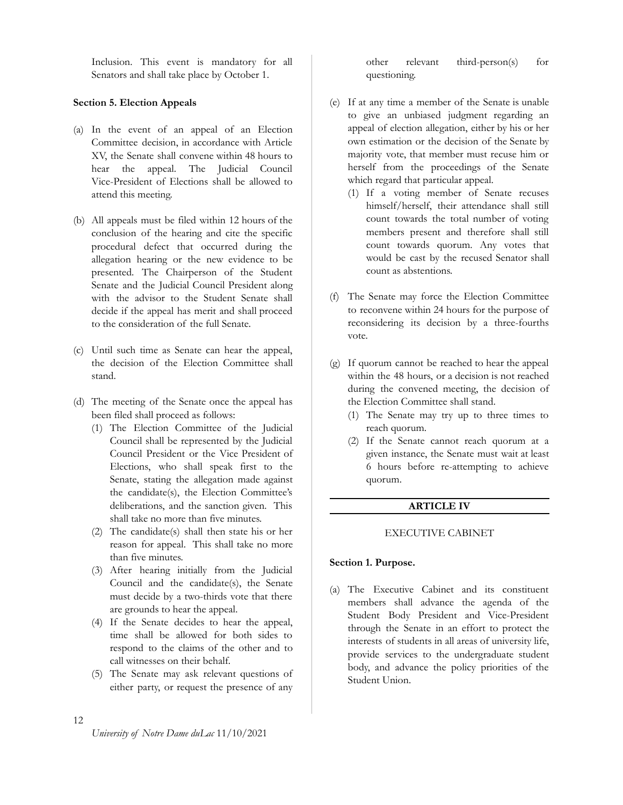Inclusion. This event is mandatory for all Senators and shall take place by October 1.

#### <span id="page-11-0"></span>**Section 5. Election Appeals**

- (a) In the event of an appeal of an Election Committee decision, in accordance with Article XV, the Senate shall convene within 48 hours to hear the appeal. The Judicial Council Vice-President of Elections shall be allowed to attend this meeting.
- (b) All appeals must be filed within 12 hours of the conclusion of the hearing and cite the specific procedural defect that occurred during the allegation hearing or the new evidence to be presented. The Chairperson of the Student Senate and the Judicial Council President along with the advisor to the Student Senate shall decide if the appeal has merit and shall proceed to the consideration of the full Senate.
- (c) Until such time as Senate can hear the appeal, the decision of the Election Committee shall stand.
- (d) The meeting of the Senate once the appeal has been filed shall proceed as follows:
	- (1) The Election Committee of the Judicial Council shall be represented by the Judicial Council President or the Vice President of Elections, who shall speak first to the Senate, stating the allegation made against the candidate(s), the Election Committee's deliberations, and the sanction given. This shall take no more than five minutes.
	- (2) The candidate(s) shall then state his or her reason for appeal. This shall take no more than five minutes.
	- (3) After hearing initially from the Judicial Council and the candidate(s), the Senate must decide by a two-thirds vote that there are grounds to hear the appeal.
	- (4) If the Senate decides to hear the appeal, time shall be allowed for both sides to respond to the claims of the other and to call witnesses on their behalf.
	- (5) The Senate may ask relevant questions of either party, or request the presence of any

other relevant third-person(s) for questioning.

- (e) If at any time a member of the Senate is unable to give an unbiased judgment regarding an appeal of election allegation, either by his or her own estimation or the decision of the Senate by majority vote, that member must recuse him or herself from the proceedings of the Senate which regard that particular appeal.
	- (1) If a voting member of Senate recuses himself/herself, their attendance shall still count towards the total number of voting members present and therefore shall still count towards quorum. Any votes that would be cast by the recused Senator shall count as abstentions.
- (f) The Senate may force the Election Committee to reconvene within 24 hours for the purpose of reconsidering its decision by a three-fourths vote.
- (g) If quorum cannot be reached to hear the appeal within the 48 hours, or a decision is not reached during the convened meeting, the decision of the Election Committee shall stand.
	- (1) The Senate may try up to three times to reach quorum.
	- (2) If the Senate cannot reach quorum at a given instance, the Senate must wait at least 6 hours before re-attempting to achieve quorum.

## **ARTICLE IV**

#### <span id="page-11-1"></span>EXECUTIVE CABINET

#### <span id="page-11-3"></span><span id="page-11-2"></span>**Section 1. Purpose.**

(a) The Executive Cabinet and its constituent members shall advance the agenda of the Student Body President and Vice-President through the Senate in an effort to protect the interests of students in all areas of university life, provide services to the undergraduate student body, and advance the policy priorities of the Student Union.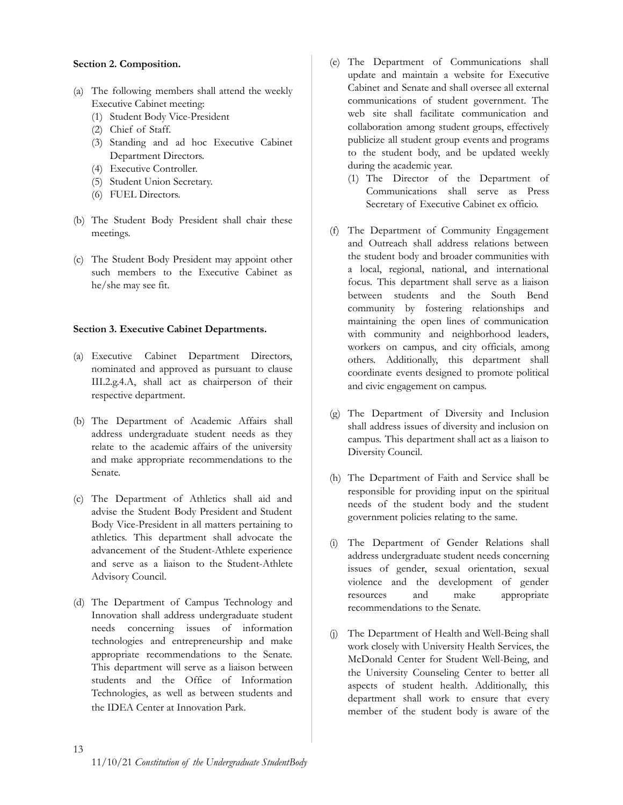# <span id="page-12-0"></span>**Section 2. Composition.**

- (a) The following members shall attend the weekly Executive Cabinet meeting:
	- (1) Student Body Vice-President
	- (2) Chief of Staff.
	- (3) Standing and ad hoc Executive Cabinet Department Directors.
	- (4) Executive Controller.
	- (5) Student Union Secretary.
	- (6) FUEL Directors.
- (b) The Student Body President shall chair these meetings.
- (c) The Student Body President may appoint other such members to the Executive Cabinet as he/she may see fit.

#### <span id="page-12-1"></span>**Section 3. Executive Cabinet Departments.**

- (a) Executive Cabinet Department Directors, nominated and approved as pursuant to clause III.2.g.4.A, shall act as chairperson of their respective department.
- (b) The Department of Academic Affairs shall address undergraduate student needs as they relate to the academic affairs of the university and make appropriate recommendations to the Senate.
- (c) The Department of Athletics shall aid and advise the Student Body President and Student Body Vice-President in all matters pertaining to athletics. This department shall advocate the advancement of the Student-Athlete experience and serve as a liaison to the Student-Athlete Advisory Council.
- (d) The Department of Campus Technology and Innovation shall address undergraduate student needs concerning issues of information technologies and entrepreneurship and make appropriate recommendations to the Senate. This department will serve as a liaison between students and the Office of Information Technologies, as well as between students and the IDEA Center at Innovation Park.
- (e) The Department of Communications shall update and maintain a website for Executive Cabinet and Senate and shall oversee all external communications of student government. The web site shall facilitate communication and collaboration among student groups, effectively publicize all student group events and programs to the student body, and be updated weekly during the academic year.
	- (1) The Director of the Department of Communications shall serve as Press Secretary of Executive Cabinet ex officio.
- (f) The Department of Community Engagement and Outreach shall address relations between the student body and broader communities with a local, regional, national, and international focus. This department shall serve as a liaison between students and the South Bend community by fostering relationships and maintaining the open lines of communication with community and neighborhood leaders, workers on campus, and city officials, among others. Additionally, this department shall coordinate events designed to promote political and civic engagement on campus.
- (g) The Department of Diversity and Inclusion shall address issues of diversity and inclusion on campus. This department shall act as a liaison to Diversity Council.
- (h) The Department of Faith and Service shall be responsible for providing input on the spiritual needs of the student body and the student government policies relating to the same.
- (i) The Department of Gender Relations shall address undergraduate student needs concerning issues of gender, sexual orientation, sexual violence and the development of gender resources and make appropriate recommendations to the Senate.
- (j) The Department of Health and Well-Being shall work closely with University Health Services, the McDonald Center for Student Well-Being, and the University Counseling Center to better all aspects of student health. Additionally, this department shall work to ensure that every member of the student body is aware of the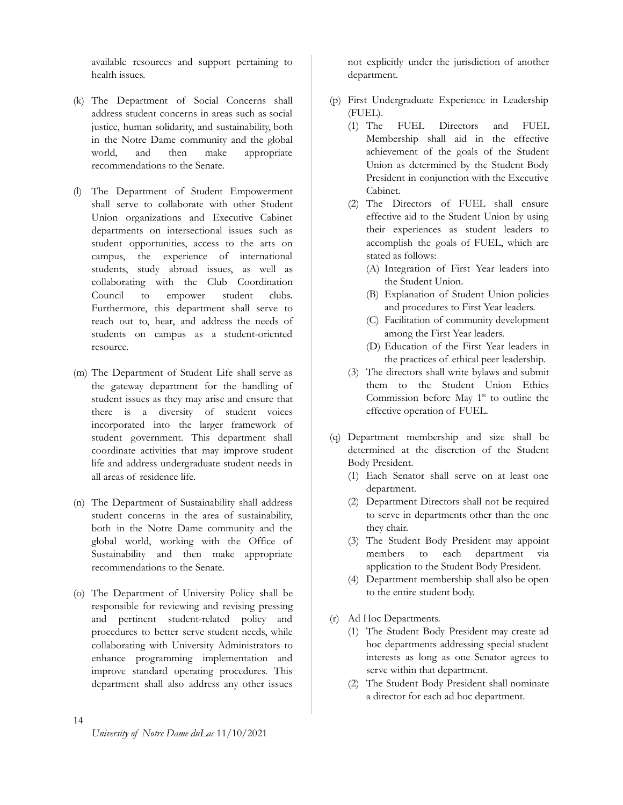available resources and support pertaining to health issues.

- (k) The Department of Social Concerns shall address student concerns in areas such as social justice, human solidarity, and sustainability, both in the Notre Dame community and the global world, and then make appropriate recommendations to the Senate.
- (l) The Department of Student Empowerment shall serve to collaborate with other Student Union organizations and Executive Cabinet departments on intersectional issues such as student opportunities, access to the arts on campus, the experience of international students, study abroad issues, as well as collaborating with the Club Coordination Council to empower student clubs. Furthermore, this department shall serve to reach out to, hear, and address the needs of students on campus as a student-oriented resource.
- (m) The Department of Student Life shall serve as the gateway department for the handling of student issues as they may arise and ensure that there is a diversity of student voices incorporated into the larger framework of student government. This department shall coordinate activities that may improve student life and address undergraduate student needs in all areas of residence life.
- (n) The Department of Sustainability shall address student concerns in the area of sustainability, both in the Notre Dame community and the global world, working with the Office of Sustainability and then make appropriate recommendations to the Senate.
- (o) The Department of University Policy shall be responsible for reviewing and revising pressing and pertinent student-related policy and procedures to better serve student needs, while collaborating with University Administrators to enhance programming implementation and improve standard operating procedures. This department shall also address any other issues
- not explicitly under the jurisdiction of another department.
- (p) First Undergraduate Experience in Leadership (FUEL).
	- (1) The FUEL Directors and FUEL Membership shall aid in the effective achievement of the goals of the Student Union as determined by the Student Body President in conjunction with the Executive Cabinet.
	- (2) The Directors of FUEL shall ensure effective aid to the Student Union by using their experiences as student leaders to accomplish the goals of FUEL, which are stated as follows:
		- (A) Integration of First Year leaders into the Student Union.
		- (B) Explanation of Student Union policies and procedures to First Year leaders.
		- (C) Facilitation of community development among the First Year leaders.
		- (D) Education of the First Year leaders in the practices of ethical peer leadership.
	- (3) The directors shall write bylaws and submit them to the Student Union Ethics Commission before May  $1<sup>st</sup>$  to outline the effective operation of FUEL.
- (q) Department membership and size shall be determined at the discretion of the Student Body President.
	- (1) Each Senator shall serve on at least one department.
	- (2) Department Directors shall not be required to serve in departments other than the one they chair.
	- (3) The Student Body President may appoint members to each department via application to the Student Body President.
	- (4) Department membership shall also be open to the entire student body.
- (r) Ad Hoc Departments.
	- (1) The Student Body President may create ad hoc departments addressing special student interests as long as one Senator agrees to serve within that department.
	- (2) The Student Body President shall nominate a director for each ad hoc department.

14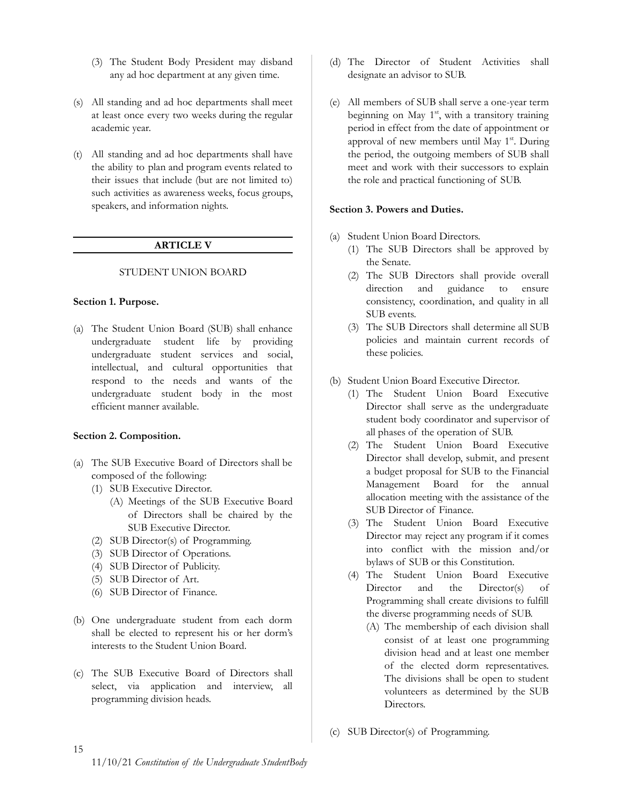- (3) The Student Body President may disband any ad hoc department at any given time.
- (s) All standing and ad hoc departments shall meet at least once every two weeks during the regular academic year.
- (t) All standing and ad hoc departments shall have the ability to plan and program events related to their issues that include (but are not limited to) such activities as awareness weeks, focus groups, speakers, and information nights.

# **ARTICLE V**

# <span id="page-14-0"></span>STUDENT UNION BOARD

# <span id="page-14-2"></span><span id="page-14-1"></span>**Section 1. Purpose.**

(a) The Student Union Board (SUB) shall enhance undergraduate student life by providing undergraduate student services and social, intellectual, and cultural opportunities that respond to the needs and wants of the undergraduate student body in the most efficient manner available.

# <span id="page-14-3"></span>**Section 2. Composition.**

- (a) The SUB Executive Board of Directors shall be composed of the following:
	- (1) SUB Executive Director.
		- (A) Meetings of the SUB Executive Board of Directors shall be chaired by the SUB Executive Director.
	- (2) SUB Director(s) of Programming.
	- (3) SUB Director of Operations.
	- (4) SUB Director of Publicity.
	- (5) SUB Director of Art.
	- (6) SUB Director of Finance.
- (b) One undergraduate student from each dorm shall be elected to represent his or her dorm's interests to the Student Union Board.
- (c) The SUB Executive Board of Directors shall select, via application and interview, all programming division heads.
- (d) The Director of Student Activities shall designate an advisor to SUB.
- (e) All members of SUB shall serve a one-year term beginning on May 1<sup>st</sup>, with a transitory training period in effect from the date of appointment or approval of new members until May 1<sup>st</sup>. During the period, the outgoing members of SUB shall meet and work with their successors to explain the role and practical functioning of SUB.

# <span id="page-14-4"></span>**Section 3. Powers and Duties.**

- (a) Student Union Board Directors.
	- (1) The SUB Directors shall be approved by the Senate.
	- (2) The SUB Directors shall provide overall direction and guidance to ensure consistency, coordination, and quality in all SUB events.
	- (3) The SUB Directors shall determine all SUB policies and maintain current records of these policies.
- (b) Student Union Board Executive Director.
	- (1) The Student Union Board Executive Director shall serve as the undergraduate student body coordinator and supervisor of all phases of the operation of SUB.
	- (2) The Student Union Board Executive Director shall develop, submit, and present a budget proposal for SUB to the Financial Management Board for the annual allocation meeting with the assistance of the SUB Director of Finance.
	- (3) The Student Union Board Executive Director may reject any program if it comes into conflict with the mission and/or bylaws of SUB or this Constitution.
	- (4) The Student Union Board Executive Director and the Director(s) of Programming shall create divisions to fulfill the diverse programming needs of SUB.
		- (A) The membership of each division shall consist of at least one programming division head and at least one member of the elected dorm representatives. The divisions shall be open to student volunteers as determined by the SUB Directors.
- (c) SUB Director(s) of Programming.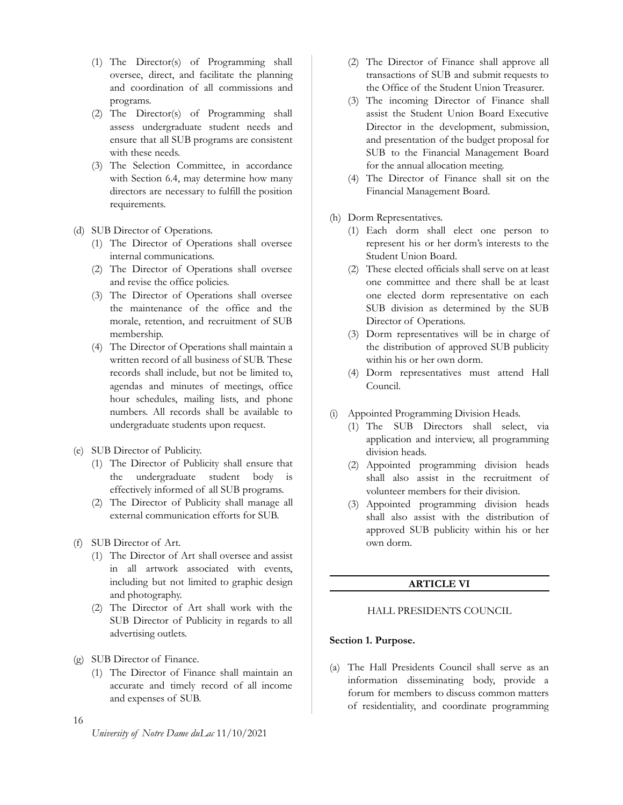- (1) The Director(s) of Programming shall oversee, direct, and facilitate the planning and coordination of all commissions and programs.
- (2) The Director(s) of Programming shall assess undergraduate student needs and ensure that all SUB programs are consistent with these needs.
- (3) The Selection Committee, in accordance with Section 6.4, may determine how many directors are necessary to fulfill the position requirements.
- (d) SUB Director of Operations.
	- (1) The Director of Operations shall oversee internal communications.
	- (2) The Director of Operations shall oversee and revise the office policies.
	- (3) The Director of Operations shall oversee the maintenance of the office and the morale, retention, and recruitment of SUB membership.
	- (4) The Director of Operations shall maintain a written record of all business of SUB. These records shall include, but not be limited to, agendas and minutes of meetings, office hour schedules, mailing lists, and phone numbers. All records shall be available to undergraduate students upon request.
- (e) SUB Director of Publicity.
	- (1) The Director of Publicity shall ensure that the undergraduate student body is effectively informed of all SUB programs.
	- (2) The Director of Publicity shall manage all external communication efforts for SUB.
- (f) SUB Director of Art.
	- (1) The Director of Art shall oversee and assist in all artwork associated with events, including but not limited to graphic design and photography.
	- (2) The Director of Art shall work with the SUB Director of Publicity in regards to all advertising outlets.
- (g) SUB Director of Finance.
	- (1) The Director of Finance shall maintain an accurate and timely record of all income and expenses of SUB.
- 16
- (2) The Director of Finance shall approve all transactions of SUB and submit requests to the Office of the Student Union Treasurer.
- (3) The incoming Director of Finance shall assist the Student Union Board Executive Director in the development, submission, and presentation of the budget proposal for SUB to the Financial Management Board for the annual allocation meeting.
- (4) The Director of Finance shall sit on the Financial Management Board.
- (h) Dorm Representatives.
	- (1) Each dorm shall elect one person to represent his or her dorm's interests to the Student Union Board.
	- (2) These elected officials shall serve on at least one committee and there shall be at least one elected dorm representative on each SUB division as determined by the SUB Director of Operations.
	- (3) Dorm representatives will be in charge of the distribution of approved SUB publicity within his or her own dorm.
	- (4) Dorm representatives must attend Hall Council.
- (i) Appointed Programming Division Heads.
	- (1) The SUB Directors shall select, via application and interview, all programming division heads.
	- (2) Appointed programming division heads shall also assist in the recruitment of volunteer members for their division.
	- (3) Appointed programming division heads shall also assist with the distribution of approved SUB publicity within his or her own dorm.

# **ARTICLE VI**

# <span id="page-15-1"></span><span id="page-15-0"></span>HALL PRESIDENTS COUNCIL

#### <span id="page-15-2"></span>**Section 1. Purpose.**

(a) The Hall Presidents Council shall serve as an information disseminating body, provide a forum for members to discuss common matters of residentiality, and coordinate programming

*University of Notre Dame duLac* 11/10/2021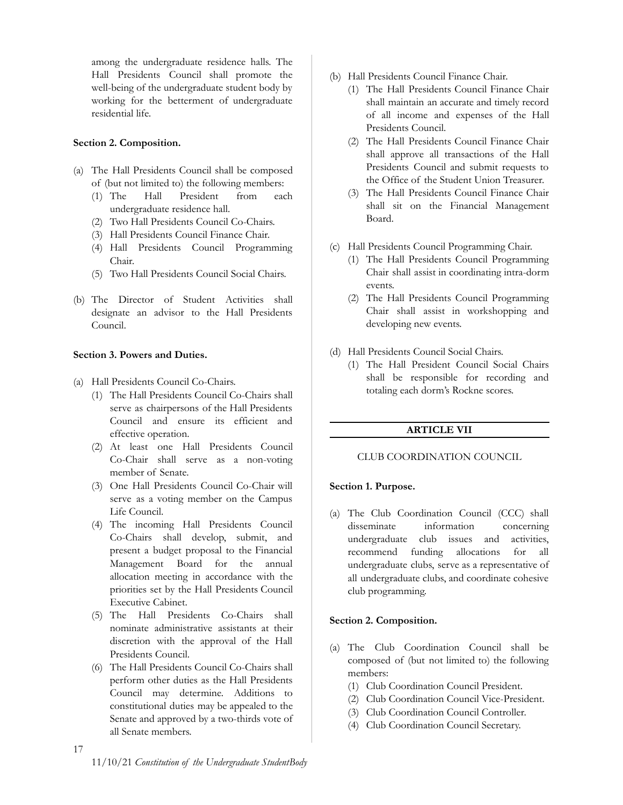among the undergraduate residence halls. The Hall Presidents Council shall promote the well-being of the undergraduate student body by working for the betterment of undergraduate residential life.

# <span id="page-16-0"></span>**Section 2. Composition.**

- (a) The Hall Presidents Council shall be composed of (but not limited to) the following members:
	- (1) The Hall President from each undergraduate residence hall.
	- (2) Two Hall Presidents Council Co-Chairs.
	- (3) Hall Presidents Council Finance Chair.
	- (4) Hall Presidents Council Programming Chair.
	- (5) Two Hall Presidents Council Social Chairs.
- (b) The Director of Student Activities shall designate an advisor to the Hall Presidents Council.

# <span id="page-16-1"></span>**Section 3. Powers and Duties.**

- (a) Hall Presidents Council Co-Chairs.
	- (1) The Hall Presidents Council Co-Chairs shall serve as chairpersons of the Hall Presidents Council and ensure its efficient and effective operation.
	- (2) At least one Hall Presidents Council Co-Chair shall serve as a non-voting member of Senate.
	- (3) One Hall Presidents Council Co-Chair will serve as a voting member on the Campus Life Council.
	- (4) The incoming Hall Presidents Council Co-Chairs shall develop, submit, and present a budget proposal to the Financial Management Board for the annual allocation meeting in accordance with the priorities set by the Hall Presidents Council Executive Cabinet.
	- (5) The Hall Presidents Co-Chairs shall nominate administrative assistants at their discretion with the approval of the Hall Presidents Council.
	- (6) The Hall Presidents Council Co-Chairs shall perform other duties as the Hall Presidents Council may determine. Additions to constitutional duties may be appealed to the Senate and approved by a two-thirds vote of all Senate members.
- (b) Hall Presidents Council Finance Chair.
	- (1) The Hall Presidents Council Finance Chair shall maintain an accurate and timely record of all income and expenses of the Hall Presidents Council.
	- (2) The Hall Presidents Council Finance Chair shall approve all transactions of the Hall Presidents Council and submit requests to the Office of the Student Union Treasurer.
	- (3) The Hall Presidents Council Finance Chair shall sit on the Financial Management Board.
- (c) Hall Presidents Council Programming Chair.
	- (1) The Hall Presidents Council Programming Chair shall assist in coordinating intra-dorm events.
	- (2) The Hall Presidents Council Programming Chair shall assist in workshopping and developing new events.
- (d) Hall Presidents Council Social Chairs.
	- (1) The Hall President Council Social Chairs shall be responsible for recording and totaling each dorm's Rockne scores.

# **ARTICLE VII**

# <span id="page-16-3"></span><span id="page-16-2"></span>CLUB COORDINATION COUNCIL

# <span id="page-16-4"></span>**Section 1. Purpose.**

(a) The Club Coordination Council (CCC) shall disseminate information concerning undergraduate club issues and activities, recommend funding allocations for all undergraduate clubs, serve as a representative of all undergraduate clubs, and coordinate cohesive club programming.

# <span id="page-16-5"></span>**Section 2. Composition.**

- (a) The Club Coordination Council shall be composed of (but not limited to) the following members:
	- (1) Club Coordination Council President.
	- (2) Club Coordination Council Vice-President.
	- (3) Club Coordination Council Controller.
	- (4) Club Coordination Council Secretary.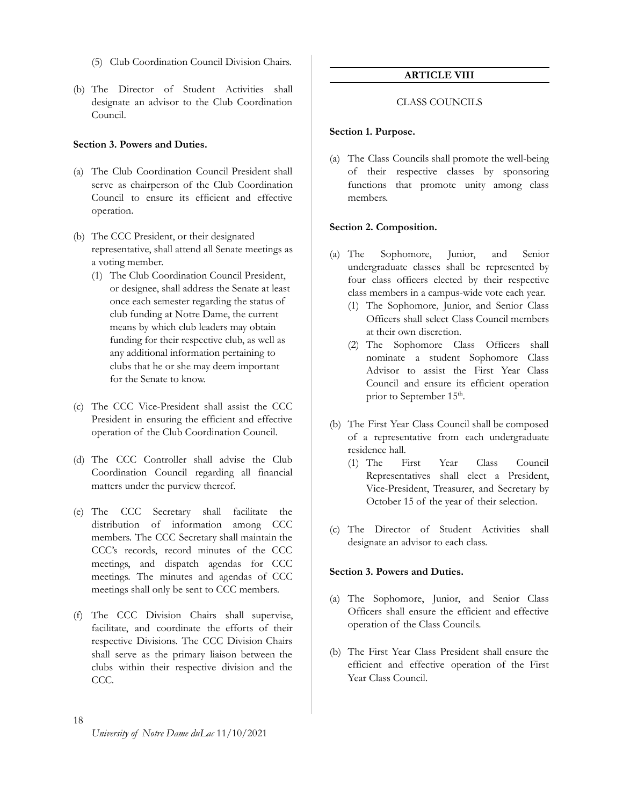- (5) Club Coordination Council Division Chairs.
- (b) The Director of Student Activities shall designate an advisor to the Club Coordination Council.

# <span id="page-17-0"></span>**Section 3. Powers and Duties.**

- (a) The Club Coordination Council President shall serve as chairperson of the Club Coordination Council to ensure its efficient and effective operation.
- (b) The CCC President, or their designated representative, shall attend all Senate meetings as a voting member.
	- (1) The Club Coordination Council President, or designee, shall address the Senate at least once each semester regarding the status of club funding at Notre Dame, the current means by which club leaders may obtain funding for their respective club, as well as any additional information pertaining to clubs that he or she may deem important for the Senate to know.
- (c) The CCC Vice-President shall assist the CCC President in ensuring the efficient and effective operation of the Club Coordination Council.
- (d) The CCC Controller shall advise the Club Coordination Council regarding all financial matters under the purview thereof.
- (e) The CCC Secretary shall facilitate the distribution of information among CCC members. The CCC Secretary shall maintain the CCC's records, record minutes of the CCC meetings, and dispatch agendas for CCC meetings. The minutes and agendas of CCC meetings shall only be sent to CCC members.
- (f) The CCC Division Chairs shall supervise, facilitate, and coordinate the efforts of their respective Divisions. The CCC Division Chairs shall serve as the primary liaison between the clubs within their respective division and the CCC.

# **ARTICLE VIII**

#### CLASS COUNCILS

#### <span id="page-17-3"></span><span id="page-17-2"></span><span id="page-17-1"></span>**Section 1. Purpose.**

(a) The Class Councils shall promote the well-being of their respective classes by sponsoring functions that promote unity among class members.

#### <span id="page-17-4"></span>**Section 2. Composition.**

- (a) The Sophomore, Junior, and Senior undergraduate classes shall be represented by four class officers elected by their respective class members in a campus-wide vote each year.
	- (1) The Sophomore, Junior, and Senior Class Officers shall select Class Council members at their own discretion.
	- (2) The Sophomore Class Officers shall nominate a student Sophomore Class Advisor to assist the First Year Class Council and ensure its efficient operation prior to September 15<sup>th</sup>.
- (b) The First Year Class Council shall be composed of a representative from each undergraduate residence hall.
	- (1) The First Year Class Council Representatives shall elect a President, Vice-President, Treasurer, and Secretary by October 15 of the year of their selection.
- (c) The Director of Student Activities shall designate an advisor to each class.

#### <span id="page-17-5"></span>**Section 3. Powers and Duties.**

- (a) The Sophomore, Junior, and Senior Class Officers shall ensure the efficient and effective operation of the Class Councils.
- (b) The First Year Class President shall ensure the efficient and effective operation of the First Year Class Council.

# 18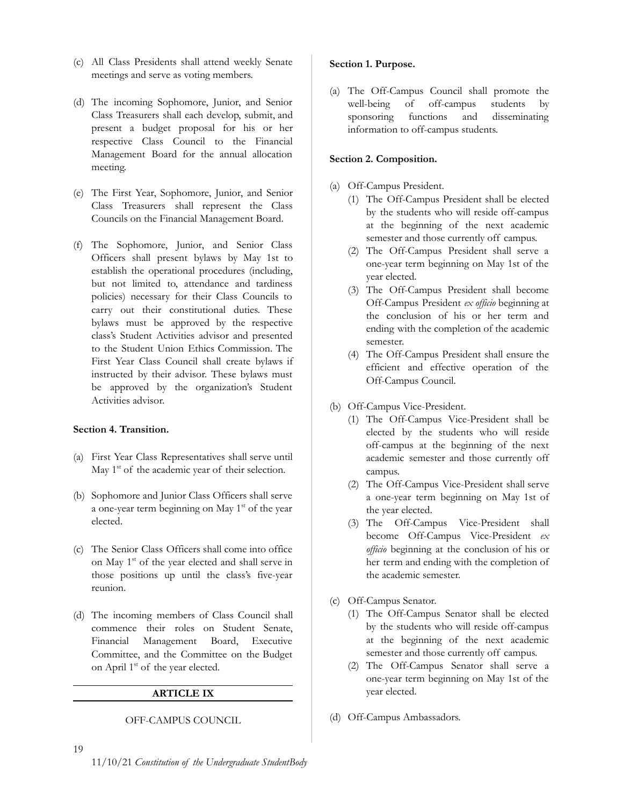- (c) All Class Presidents shall attend weekly Senate meetings and serve as voting members.
- (d) The incoming Sophomore, Junior, and Senior Class Treasurers shall each develop, submit, and present a budget proposal for his or her respective Class Council to the Financial Management Board for the annual allocation meeting.
- (e) The First Year, Sophomore, Junior, and Senior Class Treasurers shall represent the Class Councils on the Financial Management Board.
- (f) The Sophomore, Junior, and Senior Class Officers shall present bylaws by May 1st to establish the operational procedures (including, but not limited to, attendance and tardiness policies) necessary for their Class Councils to carry out their constitutional duties. These bylaws must be approved by the respective class's Student Activities advisor and presented to the Student Union Ethics Commission. The First Year Class Council shall create bylaws if instructed by their advisor. These bylaws must be approved by the organization's Student Activities advisor.

# <span id="page-18-0"></span>**Section 4. Transition.**

- (a) First Year Class Representatives shall serve until May  $1<sup>st</sup>$  of the academic year of their selection.
- (b) Sophomore and Junior Class Officers shall serve a one-year term beginning on May 1<sup>st</sup> of the year elected.
- (c) The Senior Class Officers shall come into office on May 1<sup>st</sup> of the year elected and shall serve in those positions up until the class's five-year reunion.
- <span id="page-18-1"></span>(d) The incoming members of Class Council shall commence their roles on Student Senate, Financial Management Board, Executive Committee, and the Committee on the Budget on April 1<sup>st</sup> of the year elected.

# **ARTICLE IX**

# <span id="page-18-2"></span>OFF-CAMPUS COUNCIL

#### <span id="page-18-3"></span>**Section 1. Purpose.**

(a) The Off-Campus Council shall promote the well-being of off-campus students by sponsoring functions and disseminating information to off-campus students.

#### <span id="page-18-4"></span>**Section 2. Composition.**

- (a) Off-Campus President.
	- (1) The Off-Campus President shall be elected by the students who will reside off-campus at the beginning of the next academic semester and those currently off campus.
	- (2) The Off-Campus President shall serve a one-year term beginning on May 1st of the year elected.
	- (3) The Off-Campus President shall become Off-Campus President *ex officio* beginning at the conclusion of his or her term and ending with the completion of the academic semester.
	- (4) The Off-Campus President shall ensure the efficient and effective operation of the Off-Campus Council.
- (b) Off-Campus Vice-President.
	- (1) The Off-Campus Vice-President shall be elected by the students who will reside off-campus at the beginning of the next academic semester and those currently off campus.
	- (2) The Off-Campus Vice-President shall serve a one-year term beginning on May 1st of the year elected.
	- (3) The Off-Campus Vice-President shall become Off-Campus Vice-President *ex officio* beginning at the conclusion of his or her term and ending with the completion of the academic semester.
- (c) Off-Campus Senator.
	- (1) The Off-Campus Senator shall be elected by the students who will reside off-campus at the beginning of the next academic semester and those currently off campus.
	- (2) The Off-Campus Senator shall serve a one-year term beginning on May 1st of the year elected.
- (d) Off-Campus Ambassadors.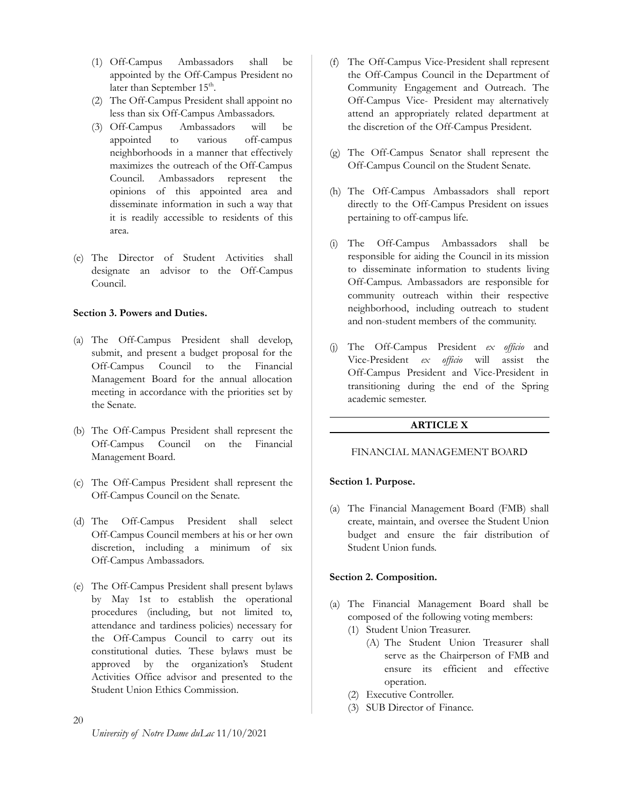- (1) Off-Campus Ambassadors shall be appointed by the Off-Campus President no later than September  $15^{\text{th}}$ .
- (2) The Off-Campus President shall appoint no less than six Off-Campus Ambassadors.
- (3) Off-Campus Ambassadors will be appointed to various off-campus neighborhoods in a manner that effectively maximizes the outreach of the Off-Campus Council. Ambassadors represent the opinions of this appointed area and disseminate information in such a way that it is readily accessible to residents of this area.
- (e) The Director of Student Activities shall designate an advisor to the Off-Campus Council.

# <span id="page-19-0"></span>**Section 3. Powers and Duties.**

- (a) The Off-Campus President shall develop, submit, and present a budget proposal for the Off-Campus Council to the Financial Management Board for the annual allocation meeting in accordance with the priorities set by the Senate.
- (b) The Off-Campus President shall represent the Off-Campus Council on the Financial Management Board.
- (c) The Off-Campus President shall represent the Off-Campus Council on the Senate.
- (d) The Off-Campus President shall select Off-Campus Council members at his or her own discretion, including a minimum of six Off-Campus Ambassadors.
- (e) The Off-Campus President shall present bylaws by May 1st to establish the operational procedures (including, but not limited to, attendance and tardiness policies) necessary for the Off-Campus Council to carry out its constitutional duties. These bylaws must be approved by the organization's Student Activities Office advisor and presented to the Student Union Ethics Commission.
- 20

*University of Notre Dame duLac* 11/10/2021

- (f) The Off-Campus Vice-President shall represent the Off-Campus Council in the Department of Community Engagement and Outreach. The Off-Campus Vice- President may alternatively attend an appropriately related department at the discretion of the Off-Campus President.
- (g) The Off-Campus Senator shall represent the Off-Campus Council on the Student Senate.
- (h) The Off-Campus Ambassadors shall report directly to the Off-Campus President on issues pertaining to off-campus life.
- (i) The Off-Campus Ambassadors shall be responsible for aiding the Council in its mission to disseminate information to students living Off-Campus. Ambassadors are responsible for community outreach within their respective neighborhood, including outreach to student and non-student members of the community.
- (j) The Off-Campus President *ex officio* and Vice-President *ex officio* will assist the Off-Campus President and Vice-President in transitioning during the end of the Spring academic semester.

# **ARTICLE X**

#### <span id="page-19-2"></span><span id="page-19-1"></span>FINANCIAL MANAGEMENT BOARD

#### <span id="page-19-3"></span>**Section 1. Purpose.**

(a) The Financial Management Board (FMB) shall create, maintain, and oversee the Student Union budget and ensure the fair distribution of Student Union funds.

#### <span id="page-19-4"></span>**Section 2. Composition.**

- (a) The Financial Management Board shall be composed of the following voting members:
	- (1) Student Union Treasurer.
		- (A) The Student Union Treasurer shall serve as the Chairperson of FMB and ensure its efficient and effective operation.
	- (2) Executive Controller.
	- (3) SUB Director of Finance.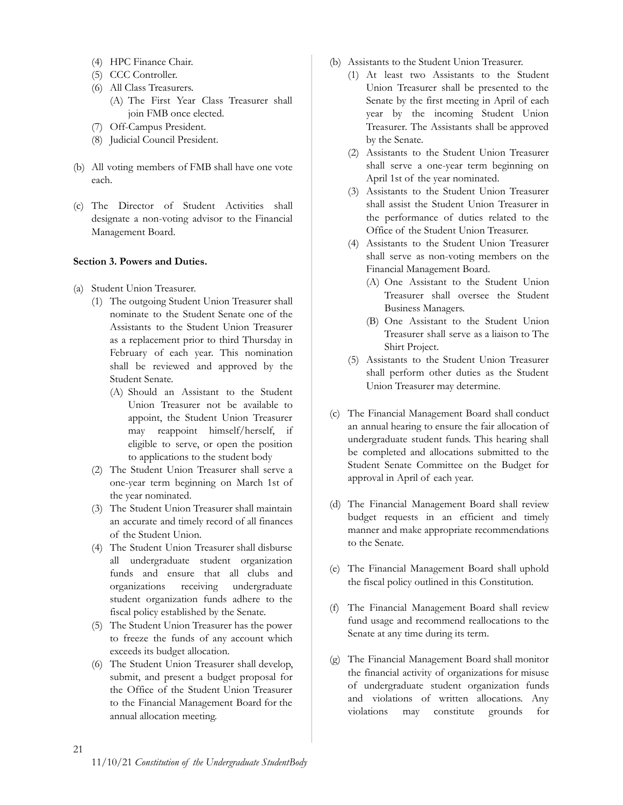- (4) HPC Finance Chair.
- (5) CCC Controller.
- (6) All Class Treasurers.
	- (A) The First Year Class Treasurer shall join FMB once elected.
- (7) Off-Campus President.
- (8) Judicial Council President.
- (b) All voting members of FMB shall have one vote each.
- (c) The Director of Student Activities shall designate a non-voting advisor to the Financial Management Board.

# <span id="page-20-0"></span>**Section 3. Powers and Duties.**

- (a) Student Union Treasurer.
	- (1) The outgoing Student Union Treasurer shall nominate to the Student Senate one of the Assistants to the Student Union Treasurer as a replacement prior to third Thursday in February of each year. This nomination shall be reviewed and approved by the Student Senate.
		- (A) Should an Assistant to the Student Union Treasurer not be available to appoint, the Student Union Treasurer may reappoint himself/herself, if eligible to serve, or open the position to applications to the student body
	- (2) The Student Union Treasurer shall serve a one-year term beginning on March 1st of the year nominated.
	- (3) The Student Union Treasurer shall maintain an accurate and timely record of all finances of the Student Union.
	- (4) The Student Union Treasurer shall disburse all undergraduate student organization funds and ensure that all clubs and organizations receiving undergraduate student organization funds adhere to the fiscal policy established by the Senate.
	- (5) The Student Union Treasurer has the power to freeze the funds of any account which exceeds its budget allocation.
	- (6) The Student Union Treasurer shall develop, submit, and present a budget proposal for the Office of the Student Union Treasurer to the Financial Management Board for the annual allocation meeting.
- (b) Assistants to the Student Union Treasurer.
	- (1) At least two Assistants to the Student Union Treasurer shall be presented to the Senate by the first meeting in April of each year by the incoming Student Union Treasurer. The Assistants shall be approved by the Senate.
	- (2) Assistants to the Student Union Treasurer shall serve a one-year term beginning on April 1st of the year nominated.
	- (3) Assistants to the Student Union Treasurer shall assist the Student Union Treasurer in the performance of duties related to the Office of the Student Union Treasurer.
	- (4) Assistants to the Student Union Treasurer shall serve as non-voting members on the Financial Management Board.
		- (A) One Assistant to the Student Union Treasurer shall oversee the Student Business Managers.
		- (B) One Assistant to the Student Union Treasurer shall serve as a liaison to The Shirt Project.
	- (5) Assistants to the Student Union Treasurer shall perform other duties as the Student Union Treasurer may determine.
- (c) The Financial Management Board shall conduct an annual hearing to ensure the fair allocation of undergraduate student funds. This hearing shall be completed and allocations submitted to the Student Senate Committee on the Budget for approval in April of each year.
- (d) The Financial Management Board shall review budget requests in an efficient and timely manner and make appropriate recommendations to the Senate.
- (e) The Financial Management Board shall uphold the fiscal policy outlined in this Constitution.
- (f) The Financial Management Board shall review fund usage and recommend reallocations to the Senate at any time during its term.
- (g) The Financial Management Board shall monitor the financial activity of organizations for misuse of undergraduate student organization funds and violations of written allocations. Any violations may constitute grounds for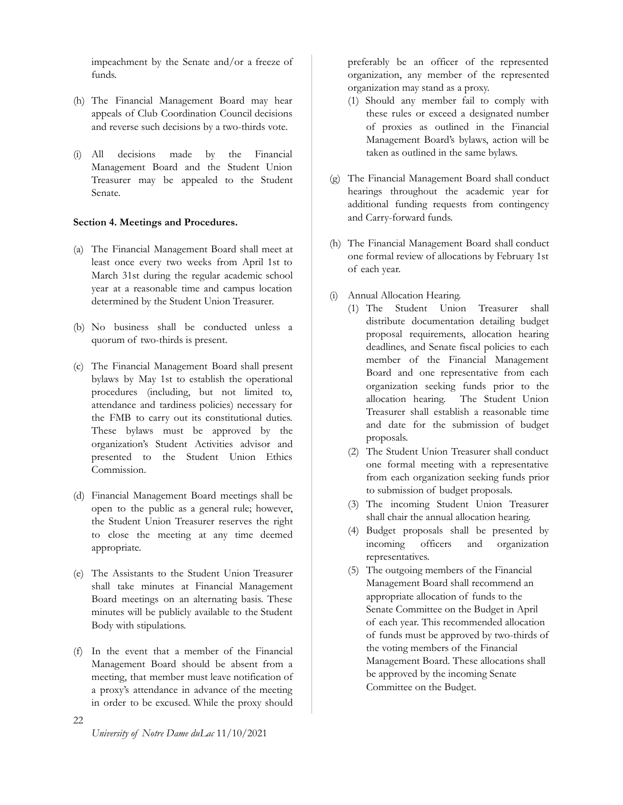impeachment by the Senate and/or a freeze of funds.

- (h) The Financial Management Board may hear appeals of Club Coordination Council decisions and reverse such decisions by a two-thirds vote.
- (i) All decisions made by the Financial Management Board and the Student Union Treasurer may be appealed to the Student Senate.

# <span id="page-21-0"></span>**Section 4. Meetings and Procedures.**

- (a) The Financial Management Board shall meet at least once every two weeks from April 1st to March 31st during the regular academic school year at a reasonable time and campus location determined by the Student Union Treasurer.
- (b) No business shall be conducted unless a quorum of two-thirds is present.
- (c) The Financial Management Board shall present bylaws by May 1st to establish the operational procedures (including, but not limited to, attendance and tardiness policies) necessary for the FMB to carry out its constitutional duties. These bylaws must be approved by the organization's Student Activities advisor and presented to the Student Union Ethics Commission.
- (d) Financial Management Board meetings shall be open to the public as a general rule; however, the Student Union Treasurer reserves the right to close the meeting at any time deemed appropriate.
- (e) The Assistants to the Student Union Treasurer shall take minutes at Financial Management Board meetings on an alternating basis. These minutes will be publicly available to the Student Body with stipulations.
- (f) In the event that a member of the Financial Management Board should be absent from a meeting, that member must leave notification of a proxy's attendance in advance of the meeting in order to be excused. While the proxy should

preferably be an officer of the represented organization, any member of the represented organization may stand as a proxy.

- (1) Should any member fail to comply with these rules or exceed a designated number of proxies as outlined in the Financial Management Board's bylaws, action will be taken as outlined in the same bylaws.
- (g) The Financial Management Board shall conduct hearings throughout the academic year for additional funding requests from contingency and Carry-forward funds.
- (h) The Financial Management Board shall conduct one formal review of allocations by February 1st of each year.
- (i) Annual Allocation Hearing.
	- (1) The Student Union Treasurer shall distribute documentation detailing budget proposal requirements, allocation hearing deadlines, and Senate fiscal policies to each member of the Financial Management Board and one representative from each organization seeking funds prior to the allocation hearing. The Student Union Treasurer shall establish a reasonable time and date for the submission of budget proposals.
	- (2) The Student Union Treasurer shall conduct one formal meeting with a representative from each organization seeking funds prior to submission of budget proposals.
	- (3) The incoming Student Union Treasurer shall chair the annual allocation hearing.
	- (4) Budget proposals shall be presented by incoming officers and organization representatives.
	- (5) The outgoing members of the Financial Management Board shall recommend an appropriate allocation of funds to the Senate Committee on the Budget in April of each year. This recommended allocation of funds must be approved by two-thirds of the voting members of the Financial Management Board. These allocations shall be approved by the incoming Senate Committee on the Budget.

22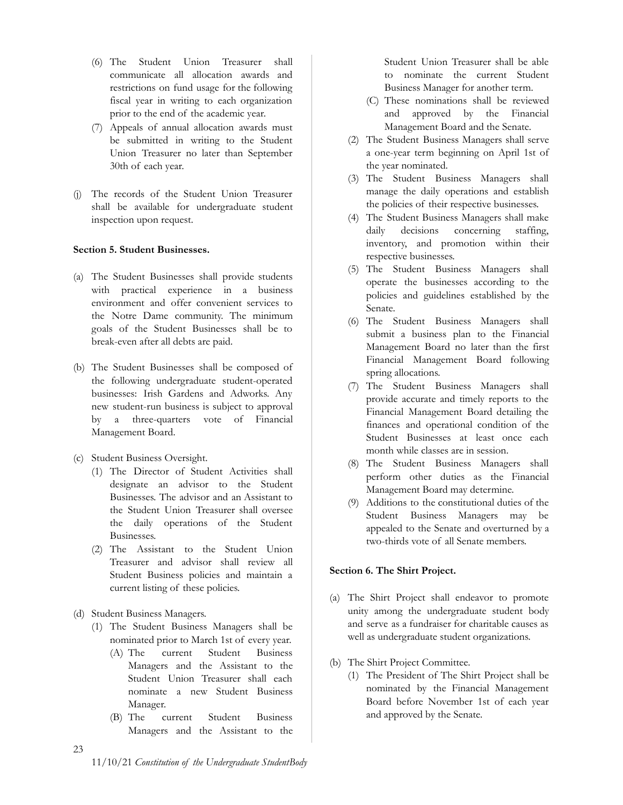- (6) The Student Union Treasurer shall communicate all allocation awards and restrictions on fund usage for the following fiscal year in writing to each organization prior to the end of the academic year.
- (7) Appeals of annual allocation awards must be submitted in writing to the Student Union Treasurer no later than September 30th of each year.
- (j) The records of the Student Union Treasurer shall be available for undergraduate student inspection upon request.

# <span id="page-22-0"></span>**Section 5. Student Businesses.**

- (a) The Student Businesses shall provide students with practical experience in a business environment and offer convenient services to the Notre Dame community. The minimum goals of the Student Businesses shall be to break-even after all debts are paid.
- (b) The Student Businesses shall be composed of the following undergraduate student-operated businesses: Irish Gardens and Adworks. Any new student-run business is subject to approval by a three-quarters vote of Financial Management Board.
- (c) Student Business Oversight.
	- (1) The Director of Student Activities shall designate an advisor to the Student Businesses. The advisor and an Assistant to the Student Union Treasurer shall oversee the daily operations of the Student Businesses.
	- (2) The Assistant to the Student Union Treasurer and advisor shall review all Student Business policies and maintain a current listing of these policies.
- (d) Student Business Managers.
	- (1) The Student Business Managers shall be nominated prior to March 1st of every year.
		- (A) The current Student Business Managers and the Assistant to the Student Union Treasurer shall each nominate a new Student Business Manager.
		- (B) The current Student Business Managers and the Assistant to the

Student Union Treasurer shall be able to nominate the current Student Business Manager for another term.

- (C) These nominations shall be reviewed and approved by the Financial Management Board and the Senate.
- (2) The Student Business Managers shall serve a one-year term beginning on April 1st of the year nominated.
- (3) The Student Business Managers shall manage the daily operations and establish the policies of their respective businesses.
- (4) The Student Business Managers shall make daily decisions concerning staffing, inventory, and promotion within their respective businesses.
- (5) The Student Business Managers shall operate the businesses according to the policies and guidelines established by the Senate.
- (6) The Student Business Managers shall submit a business plan to the Financial Management Board no later than the first Financial Management Board following spring allocations.
- (7) The Student Business Managers shall provide accurate and timely reports to the Financial Management Board detailing the finances and operational condition of the Student Businesses at least once each month while classes are in session.
- (8) The Student Business Managers shall perform other duties as the Financial Management Board may determine.
- (9) Additions to the constitutional duties of the Student Business Managers may be appealed to the Senate and overturned by a two-thirds vote of all Senate members.

# <span id="page-22-1"></span>**Section 6. The Shirt Project.**

- (a) The Shirt Project shall endeavor to promote unity among the undergraduate student body and serve as a fundraiser for charitable causes as well as undergraduate student organizations.
- (b) The Shirt Project Committee.
	- (1) The President of The Shirt Project shall be nominated by the Financial Management Board before November 1st of each year and approved by the Senate.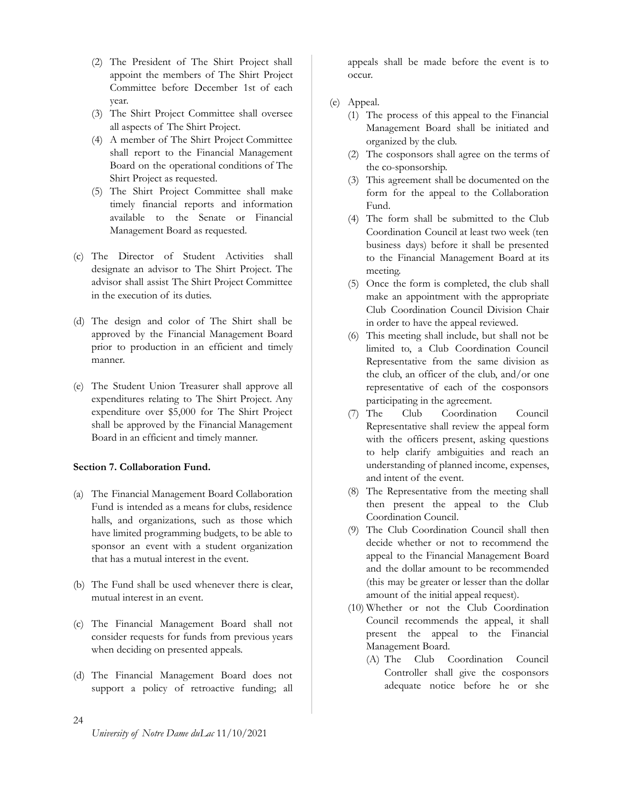- (2) The President of The Shirt Project shall appoint the members of The Shirt Project Committee before December 1st of each year.
- (3) The Shirt Project Committee shall oversee all aspects of The Shirt Project.
- (4) A member of The Shirt Project Committee shall report to the Financial Management Board on the operational conditions of The Shirt Project as requested.
- (5) The Shirt Project Committee shall make timely financial reports and information available to the Senate or Financial Management Board as requested.
- (c) The Director of Student Activities shall designate an advisor to The Shirt Project. The advisor shall assist The Shirt Project Committee in the execution of its duties.
- (d) The design and color of The Shirt shall be approved by the Financial Management Board prior to production in an efficient and timely manner.
- (e) The Student Union Treasurer shall approve all expenditures relating to The Shirt Project. Any expenditure over \$5,000 for The Shirt Project shall be approved by the Financial Management Board in an efficient and timely manner.

# <span id="page-23-0"></span>**Section 7. Collaboration Fund.**

- (a) The Financial Management Board Collaboration Fund is intended as a means for clubs, residence halls, and organizations, such as those which have limited programming budgets, to be able to sponsor an event with a student organization that has a mutual interest in the event.
- (b) The Fund shall be used whenever there is clear, mutual interest in an event.
- (c) The Financial Management Board shall not consider requests for funds from previous years when deciding on presented appeals.
- (d) The Financial Management Board does not support a policy of retroactive funding; all

appeals shall be made before the event is to occur.

- (e) Appeal.
	- (1) The process of this appeal to the Financial Management Board shall be initiated and organized by the club.
	- (2) The cosponsors shall agree on the terms of the co-sponsorship.
	- (3) This agreement shall be documented on the form for the appeal to the Collaboration Fund.
	- (4) The form shall be submitted to the Club Coordination Council at least two week (ten business days) before it shall be presented to the Financial Management Board at its meeting.
	- (5) Once the form is completed, the club shall make an appointment with the appropriate Club Coordination Council Division Chair in order to have the appeal reviewed.
	- (6) This meeting shall include, but shall not be limited to, a Club Coordination Council Representative from the same division as the club, an officer of the club, and/or one representative of each of the cosponsors participating in the agreement.
	- (7) The Club Coordination Council Representative shall review the appeal form with the officers present, asking questions to help clarify ambiguities and reach an understanding of planned income, expenses, and intent of the event.
	- (8) The Representative from the meeting shall then present the appeal to the Club Coordination Council.
	- (9) The Club Coordination Council shall then decide whether or not to recommend the appeal to the Financial Management Board and the dollar amount to be recommended (this may be greater or lesser than the dollar amount of the initial appeal request).
	- (10) Whether or not the Club Coordination Council recommends the appeal, it shall present the appeal to the Financial Management Board.
		- (A) The Club Coordination Council Controller shall give the cosponsors adequate notice before he or she

24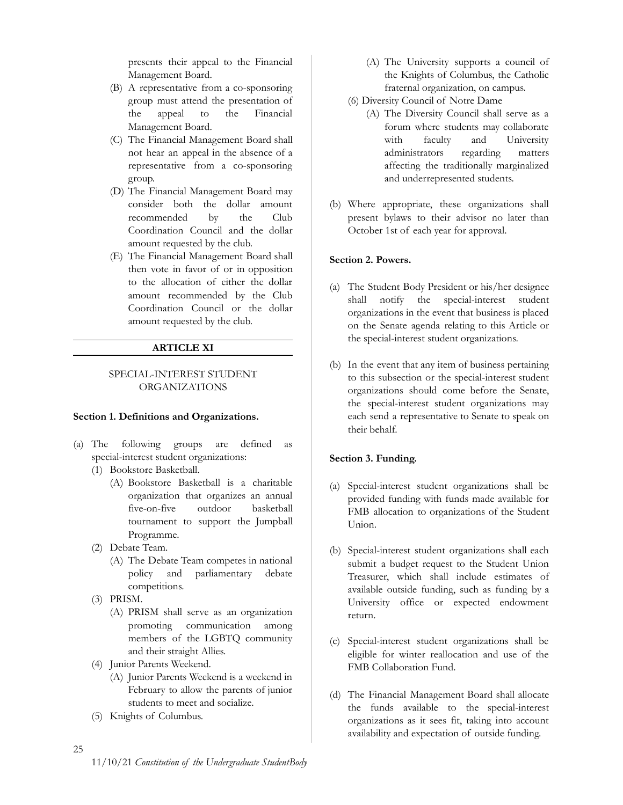presents their appeal to the Financial Management Board.

- (B) A representative from a co-sponsoring group must attend the presentation of the appeal to the Financial Management Board.
- (C) The Financial Management Board shall not hear an appeal in the absence of a representative from a co-sponsoring group.
- (D) The Financial Management Board may consider both the dollar amount recommended by the Club Coordination Council and the dollar amount requested by the club.
- (E) The Financial Management Board shall then vote in favor of or in opposition to the allocation of either the dollar amount recommended by the Club Coordination Council or the dollar amount requested by the club.

# **ARTICLE XI**

# <span id="page-24-0"></span>SPECIAL-INTEREST STUDENT ORGANIZATIONS

# <span id="page-24-2"></span><span id="page-24-1"></span>**Section 1. Definitions and Organizations.**

- (a) The following groups are defined as special-interest student organizations:
	- (1) Bookstore Basketball.
		- (A) Bookstore Basketball is a charitable organization that organizes an annual five-on-five outdoor basketball tournament to support the Jumpball Programme.
	- (2) Debate Team.
		- (A) The Debate Team competes in national policy and parliamentary debate competitions.
	- (3) PRISM.
		- (A) PRISM shall serve as an organization promoting communication among members of the LGBTQ community and their straight Allies.
	- (4) Junior Parents Weekend.
		- (A) Junior Parents Weekend is a weekend in February to allow the parents of junior students to meet and socialize.
	- (5) Knights of Columbus.
- (A) The University supports a council of the Knights of Columbus, the Catholic fraternal organization, on campus.
- (6) Diversity Council of Notre Dame
	- (A) The Diversity Council shall serve as a forum where students may collaborate with faculty and University administrators regarding matters affecting the traditionally marginalized and underrepresented students.
- (b) Where appropriate, these organizations shall present bylaws to their advisor no later than October 1st of each year for approval.

#### <span id="page-24-3"></span>**Section 2. Powers.**

- (a) The Student Body President or his/her designee shall notify the special-interest student organizations in the event that business is placed on the Senate agenda relating to this Article or the special-interest student organizations.
- (b) In the event that any item of business pertaining to this subsection or the special-interest student organizations should come before the Senate, the special-interest student organizations may each send a representative to Senate to speak on their behalf.

#### <span id="page-24-4"></span>**Section 3. Funding.**

- (a) Special-interest student organizations shall be provided funding with funds made available for FMB allocation to organizations of the Student Union.
- (b) Special-interest student organizations shall each submit a budget request to the Student Union Treasurer, which shall include estimates of available outside funding, such as funding by a University office or expected endowment return.
- (c) Special-interest student organizations shall be eligible for winter reallocation and use of the FMB Collaboration Fund.
- (d) The Financial Management Board shall allocate the funds available to the special-interest organizations as it sees fit, taking into account availability and expectation of outside funding.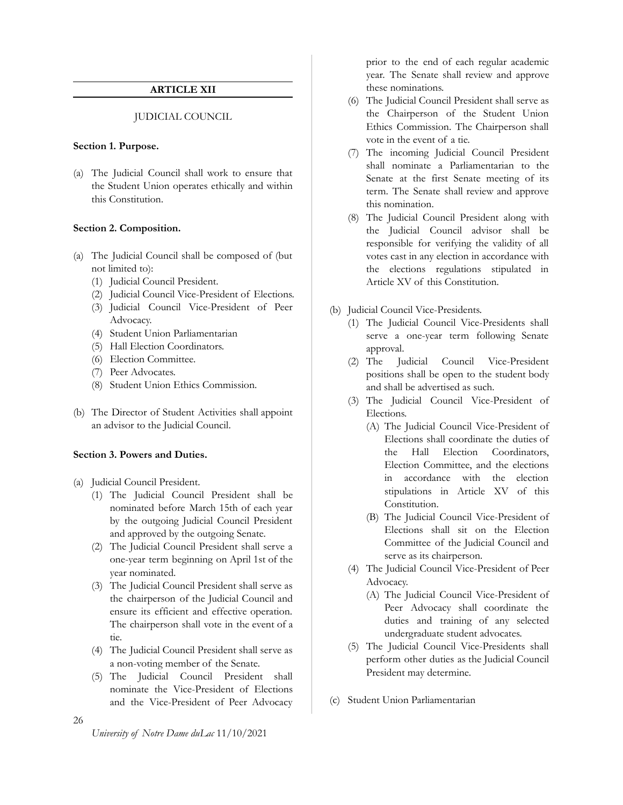# **ARTICLE XII**

# JUDICIAL COUNCIL

#### <span id="page-25-2"></span><span id="page-25-1"></span><span id="page-25-0"></span>**Section 1. Purpose.**

(a) The Judicial Council shall work to ensure that the Student Union operates ethically and within this Constitution.

#### <span id="page-25-3"></span>**Section 2. Composition.**

- (a) The Judicial Council shall be composed of (but not limited to):
	- (1) Judicial Council President.
	- (2) Judicial Council Vice-President of Elections.
	- (3) Judicial Council Vice-President of Peer Advocacy.
	- (4) Student Union Parliamentarian
	- (5) Hall Election Coordinators.
	- (6) Election Committee.
	- (7) Peer Advocates.
	- (8) Student Union Ethics Commission.
- (b) The Director of Student Activities shall appoint an advisor to the Judicial Council.

# <span id="page-25-4"></span>**Section 3. Powers and Duties.**

- (a) Judicial Council President.
	- (1) The Judicial Council President shall be nominated before March 15th of each year by the outgoing Judicial Council President and approved by the outgoing Senate.
	- (2) The Judicial Council President shall serve a one-year term beginning on April 1st of the year nominated.
	- (3) The Judicial Council President shall serve as the chairperson of the Judicial Council and ensure its efficient and effective operation. The chairperson shall vote in the event of a tie.
	- (4) The Judicial Council President shall serve as a non-voting member of the Senate.
	- (5) The Judicial Council President shall nominate the Vice-President of Elections and the Vice-President of Peer Advocacy

prior to the end of each regular academic year. The Senate shall review and approve these nominations.

- (6) The Judicial Council President shall serve as the Chairperson of the Student Union Ethics Commission. The Chairperson shall vote in the event of a tie.
- (7) The incoming Judicial Council President shall nominate a Parliamentarian to the Senate at the first Senate meeting of its term. The Senate shall review and approve this nomination.
- (8) The Judicial Council President along with the Judicial Council advisor shall be responsible for verifying the validity of all votes cast in any election in accordance with the elections regulations stipulated in Article XV of this Constitution.
- (b) Judicial Council Vice-Presidents.
	- (1) The Judicial Council Vice-Presidents shall serve a one-year term following Senate approval.
	- (2) The Judicial Council Vice-President positions shall be open to the student body and shall be advertised as such.
	- (3) The Judicial Council Vice-President of Elections.
		- (A) The Judicial Council Vice-President of Elections shall coordinate the duties of the Hall Election Coordinators, Election Committee, and the elections in accordance with the election stipulations in Article XV of this Constitution.
		- (B) The Judicial Council Vice-President of Elections shall sit on the Election Committee of the Judicial Council and serve as its chairperson.
	- (4) The Judicial Council Vice-President of Peer Advocacy.
		- (A) The Judicial Council Vice-President of Peer Advocacy shall coordinate the duties and training of any selected undergraduate student advocates.
	- (5) The Judicial Council Vice-Presidents shall perform other duties as the Judicial Council President may determine.
- (c) Student Union Parliamentarian

26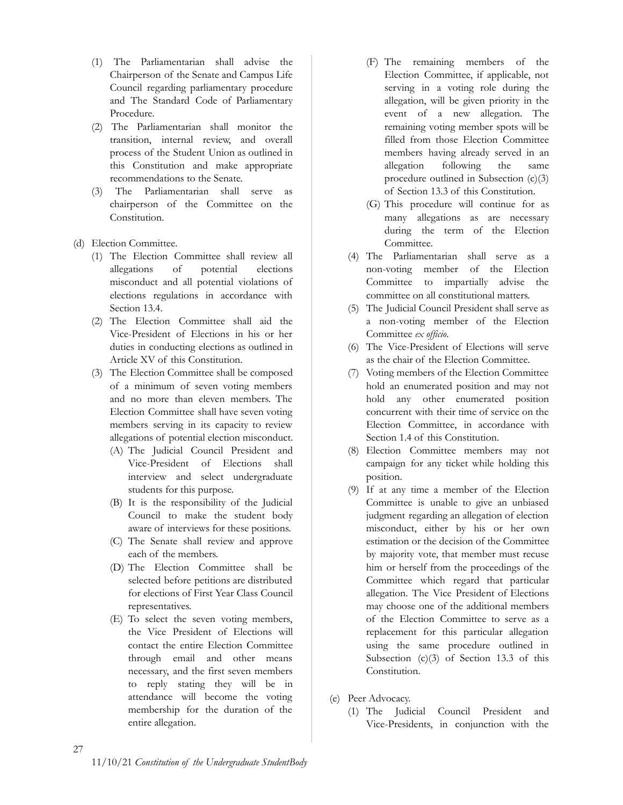- (1) The Parliamentarian shall advise the Chairperson of the Senate and Campus Life Council regarding parliamentary procedure and The Standard Code of Parliamentary Procedure.
- (2) The Parliamentarian shall monitor the transition, internal review, and overall process of the Student Union as outlined in this Constitution and make appropriate recommendations to the Senate.
- (3) The Parliamentarian shall serve as chairperson of the Committee on the Constitution.
- (d) Election Committee.
	- (1) The Election Committee shall review all allegations of potential elections misconduct and all potential violations of elections regulations in accordance with Section 13.4.
	- (2) The Election Committee shall aid the Vice-President of Elections in his or her duties in conducting elections as outlined in Article XV of this Constitution.
	- (3) The Election Committee shall be composed of a minimum of seven voting members and no more than eleven members. The Election Committee shall have seven voting members serving in its capacity to review allegations of potential election misconduct.
		- (A) The Judicial Council President and Vice-President of Elections shall interview and select undergraduate students for this purpose.
		- (B) It is the responsibility of the Judicial Council to make the student body aware of interviews for these positions.
		- (C) The Senate shall review and approve each of the members.
		- (D) The Election Committee shall be selected before petitions are distributed for elections of First Year Class Council representatives.
		- (E) To select the seven voting members, the Vice President of Elections will contact the entire Election Committee through email and other means necessary, and the first seven members to reply stating they will be in attendance will become the voting membership for the duration of the entire allegation.
- (F) The remaining members of the Election Committee, if applicable, not serving in a voting role during the allegation, will be given priority in the event of a new allegation. The remaining voting member spots will be filled from those Election Committee members having already served in an allegation following the same procedure outlined in Subsection (c)(3) of Section 13.3 of this Constitution.
- (G) This procedure will continue for as many allegations as are necessary during the term of the Election Committee.
- (4) The Parliamentarian shall serve as a non-voting member of the Election Committee to impartially advise the committee on all constitutional matters.
- (5) The Judicial Council President shall serve as a non-voting member of the Election Committee *ex officio*.
- (6) The Vice-President of Elections will serve as the chair of the Election Committee.
- (7) Voting members of the Election Committee hold an enumerated position and may not hold any other enumerated position concurrent with their time of service on the Election Committee, in accordance with Section 1.4 of this Constitution.
- (8) Election Committee members may not campaign for any ticket while holding this position.
- (9) If at any time a member of the Election Committee is unable to give an unbiased judgment regarding an allegation of election misconduct, either by his or her own estimation or the decision of the Committee by majority vote, that member must recuse him or herself from the proceedings of the Committee which regard that particular allegation. The Vice President of Elections may choose one of the additional members of the Election Committee to serve as a replacement for this particular allegation using the same procedure outlined in Subsection  $(c)(3)$  of Section 13.3 of this Constitution.
- (e) Peer Advocacy.
	- (1) The Judicial Council President and Vice-Presidents, in conjunction with the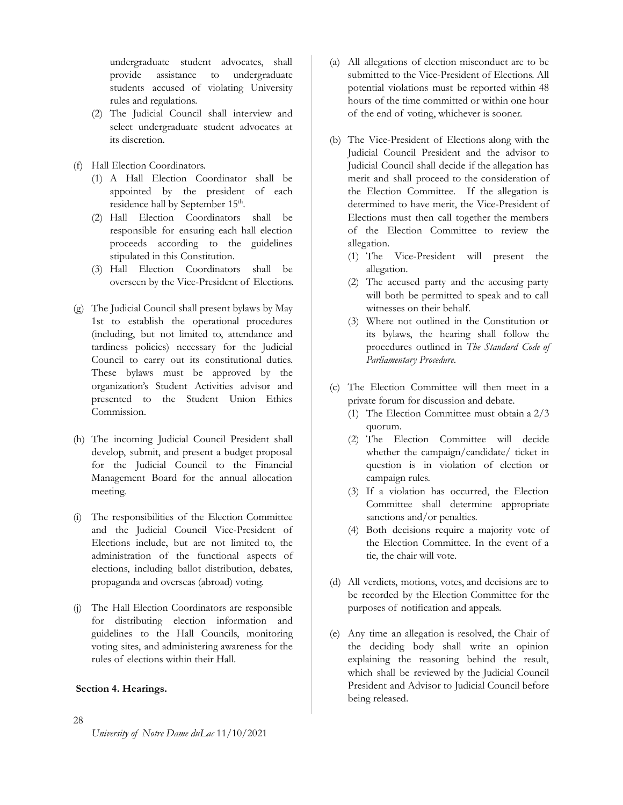undergraduate student advocates, shall provide assistance to undergraduate students accused of violating University rules and regulations.

- (2) The Judicial Council shall interview and select undergraduate student advocates at its discretion.
- (f) Hall Election Coordinators.
	- (1) A Hall Election Coordinator shall be appointed by the president of each residence hall by September 15<sup>th</sup>.
	- (2) Hall Election Coordinators shall be responsible for ensuring each hall election proceeds according to the guidelines stipulated in this Constitution.
	- (3) Hall Election Coordinators shall be overseen by the Vice-President of Elections.
- (g) The Judicial Council shall present bylaws by May 1st to establish the operational procedures (including, but not limited to, attendance and tardiness policies) necessary for the Judicial Council to carry out its constitutional duties. These bylaws must be approved by the organization's Student Activities advisor and presented to the Student Union Ethics Commission.
- (h) The incoming Judicial Council President shall develop, submit, and present a budget proposal for the Judicial Council to the Financial Management Board for the annual allocation meeting.
- (i) The responsibilities of the Election Committee and the Judicial Council Vice-President of Elections include, but are not limited to, the administration of the functional aspects of elections, including ballot distribution, debates, propaganda and overseas (abroad) voting.
- (j) The Hall Election Coordinators are responsible for distributing election information and guidelines to the Hall Councils, monitoring voting sites, and administering awareness for the rules of elections within their Hall.

# <span id="page-27-0"></span>**Section 4. Hearings.**

- (a) All allegations of election misconduct are to be submitted to the Vice-President of Elections. All potential violations must be reported within 48 hours of the time committed or within one hour of the end of voting, whichever is sooner.
- (b) The Vice-President of Elections along with the Judicial Council President and the advisor to Judicial Council shall decide if the allegation has merit and shall proceed to the consideration of the Election Committee. If the allegation is determined to have merit, the Vice-President of Elections must then call together the members of the Election Committee to review the allegation.
	- (1) The Vice-President will present the allegation.
	- (2) The accused party and the accusing party will both be permitted to speak and to call witnesses on their behalf.
	- (3) Where not outlined in the Constitution or its bylaws, the hearing shall follow the procedures outlined in *The Standard Code of Parliamentary Procedure*.
- (c) The Election Committee will then meet in a private forum for discussion and debate.
	- (1) The Election Committee must obtain a 2/3 quorum.
	- (2) The Election Committee will decide whether the campaign/candidate/ ticket in question is in violation of election or campaign rules.
	- (3) If a violation has occurred, the Election Committee shall determine appropriate sanctions and/or penalties.
	- (4) Both decisions require a majority vote of the Election Committee. In the event of a tie, the chair will vote.
- (d) All verdicts, motions, votes, and decisions are to be recorded by the Election Committee for the purposes of notification and appeals.
- (e) Any time an allegation is resolved, the Chair of the deciding body shall write an opinion explaining the reasoning behind the result, which shall be reviewed by the Judicial Council President and Advisor to Judicial Council before being released.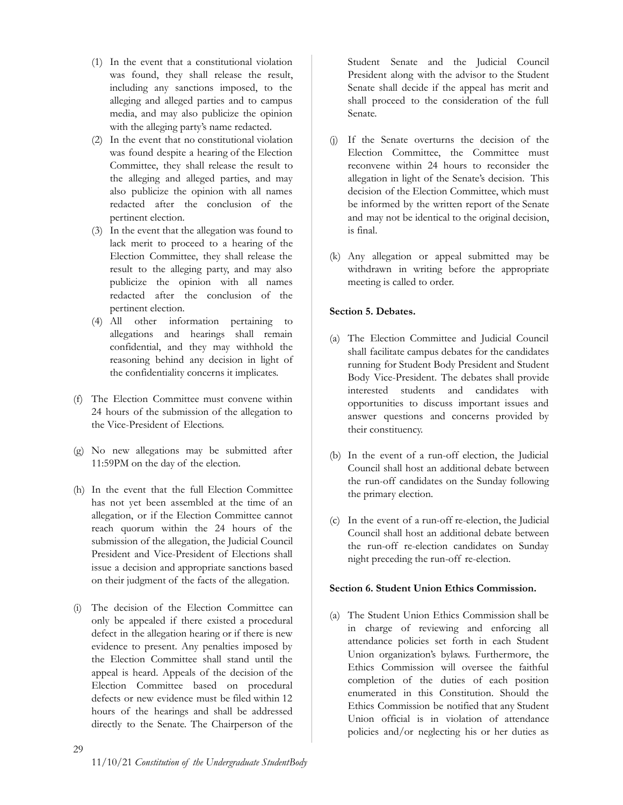- (1) In the event that a constitutional violation was found, they shall release the result, including any sanctions imposed, to the alleging and alleged parties and to campus media, and may also publicize the opinion with the alleging party's name redacted.
- (2) In the event that no constitutional violation was found despite a hearing of the Election Committee, they shall release the result to the alleging and alleged parties, and may also publicize the opinion with all names redacted after the conclusion of the pertinent election.
- (3) In the event that the allegation was found to lack merit to proceed to a hearing of the Election Committee, they shall release the result to the alleging party, and may also publicize the opinion with all names redacted after the conclusion of the pertinent election.
- (4) All other information pertaining to allegations and hearings shall remain confidential, and they may withhold the reasoning behind any decision in light of the confidentiality concerns it implicates.
- (f) The Election Committee must convene within 24 hours of the submission of the allegation to the Vice-President of Elections.
- (g) No new allegations may be submitted after 11:59PM on the day of the election.
- (h) In the event that the full Election Committee has not yet been assembled at the time of an allegation, or if the Election Committee cannot reach quorum within the 24 hours of the submission of the allegation, the Judicial Council President and Vice-President of Elections shall issue a decision and appropriate sanctions based on their judgment of the facts of the allegation.
- (i) The decision of the Election Committee can only be appealed if there existed a procedural defect in the allegation hearing or if there is new evidence to present. Any penalties imposed by the Election Committee shall stand until the appeal is heard. Appeals of the decision of the Election Committee based on procedural defects or new evidence must be filed within 12 hours of the hearings and shall be addressed directly to the Senate. The Chairperson of the

Student Senate and the Judicial Council President along with the advisor to the Student Senate shall decide if the appeal has merit and shall proceed to the consideration of the full Senate.

- (j) If the Senate overturns the decision of the Election Committee, the Committee must reconvene within 24 hours to reconsider the allegation in light of the Senate's decision. This decision of the Election Committee, which must be informed by the written report of the Senate and may not be identical to the original decision, is final.
- (k) Any allegation or appeal submitted may be withdrawn in writing before the appropriate meeting is called to order.

# <span id="page-28-0"></span>**Section 5. Debates.**

- (a) The Election Committee and Judicial Council shall facilitate campus debates for the candidates running for Student Body President and Student Body Vice-President. The debates shall provide interested students and candidates with opportunities to discuss important issues and answer questions and concerns provided by their constituency.
- (b) In the event of a run-off election, the Judicial Council shall host an additional debate between the run-off candidates on the Sunday following the primary election.
- (c) In the event of a run-off re-election, the Judicial Council shall host an additional debate between the run-off re-election candidates on Sunday night preceding the run-off re-election.

# <span id="page-28-1"></span>**Section 6. Student Union Ethics Commission.**

(a) The Student Union Ethics Commission shall be in charge of reviewing and enforcing all attendance policies set forth in each Student Union organization's bylaws. Furthermore, the Ethics Commission will oversee the faithful completion of the duties of each position enumerated in this Constitution. Should the Ethics Commission be notified that any Student Union official is in violation of attendance policies and/or neglecting his or her duties as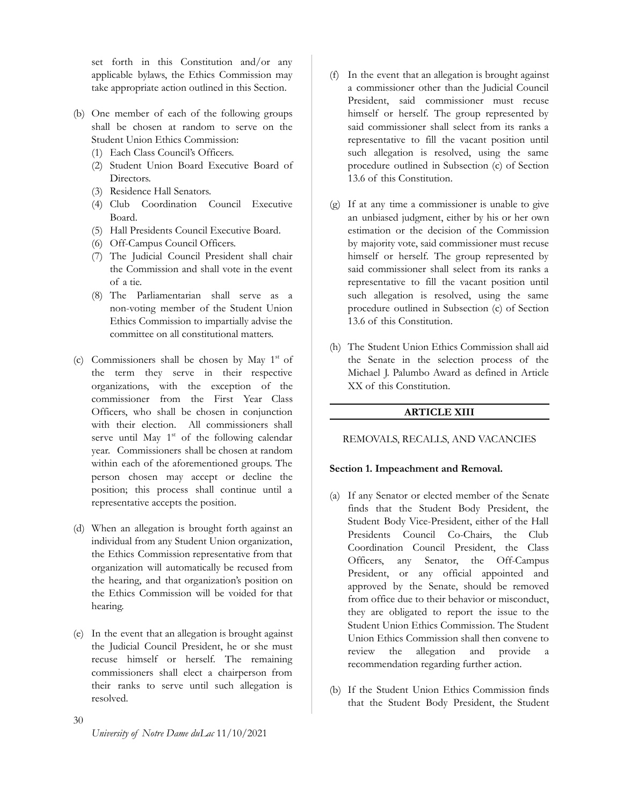set forth in this Constitution and/or any applicable bylaws, the Ethics Commission may take appropriate action outlined in this Section.

- (b) One member of each of the following groups shall be chosen at random to serve on the Student Union Ethics Commission:
	- (1) Each Class Council's Officers.
	- (2) Student Union Board Executive Board of Directors.
	- (3) Residence Hall Senators.
	- (4) Club Coordination Council Executive Board.
	- (5) Hall Presidents Council Executive Board.
	- (6) Off-Campus Council Officers.
	- (7) The Judicial Council President shall chair the Commission and shall vote in the event of a tie.
	- (8) The Parliamentarian shall serve as a non-voting member of the Student Union Ethics Commission to impartially advise the committee on all constitutional matters.
- (c) Commissioners shall be chosen by May  $1<sup>st</sup>$  of the term they serve in their respective organizations, with the exception of the commissioner from the First Year Class Officers, who shall be chosen in conjunction with their election. All commissioners shall serve until May 1<sup>st</sup> of the following calendar year. Commissioners shall be chosen at random within each of the aforementioned groups. The person chosen may accept or decline the position; this process shall continue until a representative accepts the position.
- (d) When an allegation is brought forth against an individual from any Student Union organization, the Ethics Commission representative from that organization will automatically be recused from the hearing, and that organization's position on the Ethics Commission will be voided for that hearing.
- (e) In the event that an allegation is brought against the Judicial Council President, he or she must recuse himself or herself. The remaining commissioners shall elect a chairperson from their ranks to serve until such allegation is resolved.
- (f) In the event that an allegation is brought against a commissioner other than the Judicial Council President, said commissioner must recuse himself or herself. The group represented by said commissioner shall select from its ranks a representative to fill the vacant position until such allegation is resolved, using the same procedure outlined in Subsection (c) of Section 13.6 of this Constitution.
- (g) If at any time a commissioner is unable to give an unbiased judgment, either by his or her own estimation or the decision of the Commission by majority vote, said commissioner must recuse himself or herself. The group represented by said commissioner shall select from its ranks a representative to fill the vacant position until such allegation is resolved, using the same procedure outlined in Subsection (c) of Section 13.6 of this Constitution.
- (h) The Student Union Ethics Commission shall aid the Senate in the selection process of the Michael J. Palumbo Award as defined in Article XX of this Constitution.

# **ARTICLE XIII**

# <span id="page-29-1"></span><span id="page-29-0"></span>REMOVALS, RECALLS, AND VACANCIES

# <span id="page-29-2"></span>**Section 1. Impeachment and Removal.**

- (a) If any Senator or elected member of the Senate finds that the Student Body President, the Student Body Vice-President, either of the Hall Presidents Council Co-Chairs, the Club Coordination Council President, the Class Officers, any Senator, the Off-Campus President, or any official appointed and approved by the Senate, should be removed from office due to their behavior or misconduct, they are obligated to report the issue to the Student Union Ethics Commission. The Student Union Ethics Commission shall then convene to review the allegation and provide a recommendation regarding further action.
- (b) If the Student Union Ethics Commission finds that the Student Body President, the Student

30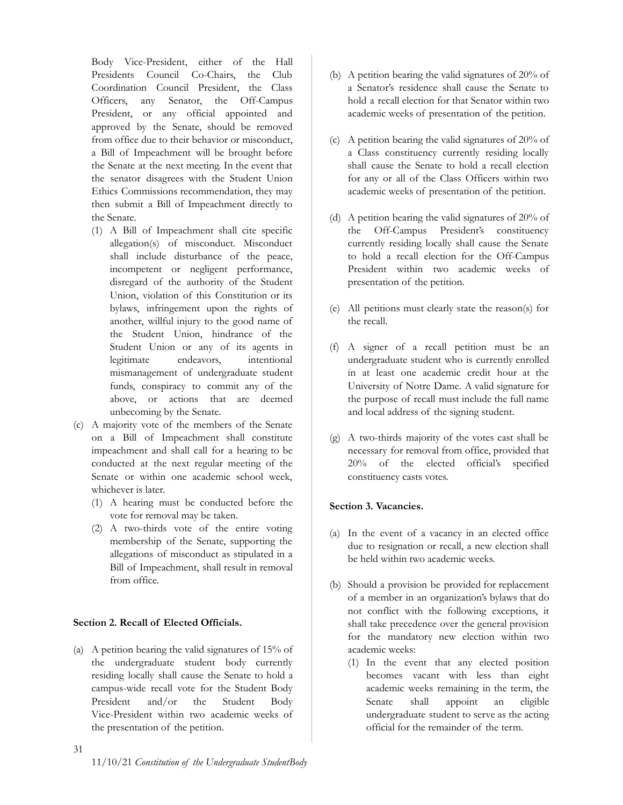Body Vice-President, either of the Hall Presidents Council Co-Chairs, the Club Coordination Council President, the Class Officers, any Senator, the Off-Campus President, or any official appointed and approved by the Senate, should be removed from office due to their behavior or misconduct, a Bill of Impeachment will be brought before the Senate at the next meeting. In the event that the senator disagrees with the Student Union Ethics Commissions recommendation, they may then submit a Bill of Impeachment directly to the Senate.

- (1) A Bill of Impeachment shall cite specific allegation(s) of misconduct. Misconduct shall include disturbance of the peace, incompetent or negligent performance, disregard of the authority of the Student Union, violation of this Constitution or its bylaws, infringement upon the rights of another, willful injury to the good name of the Student Union, hindrance of the Student Union or any of its agents in legitimate endeavors, intentional mismanagement of undergraduate student funds, conspiracy to commit any of the above, or actions that are deemed unbecoming by the Senate.
- (c) A majority vote of the members of the Senate on a Bill of Impeachment shall constitute impeachment and shall call for a hearing to be conducted at the next regular meeting of the Senate or within one academic school week, whichever is later.
	- (1) A hearing must be conducted before the vote for removal may be taken.
	- (2) A two-thirds vote of the entire voting membership of the Senate, supporting the allegations of misconduct as stipulated in a Bill of Impeachment, shall result in removal from office.

# <span id="page-30-0"></span>**Section 2. Recall of Elected Officials.**

(a) A petition bearing the valid signatures of 15% of the undergraduate student body currently residing locally shall cause the Senate to hold a campus-wide recall vote for the Student Body President and/or the Student Body Vice-President within two academic weeks of the presentation of the petition.

- (b) A petition bearing the valid signatures of 20% of a Senator's residence shall cause the Senate to hold a recall election for that Senator within two academic weeks of presentation of the petition.
- (c) A petition bearing the valid signatures of 20% of a Class constituency currently residing locally shall cause the Senate to hold a recall election for any or all of the Class Officers within two academic weeks of presentation of the petition.
- (d) A petition bearing the valid signatures of 20% of the Off-Campus President's constituency currently residing locally shall cause the Senate to hold a recall election for the Off-Campus President within two academic weeks of presentation of the petition.
- (e) All petitions must clearly state the reason(s) for the recall.
- (f) A signer of a recall petition must be an undergraduate student who is currently enrolled in at least one academic credit hour at the University of Notre Dame. A valid signature for the purpose of recall must include the full name and local address of the signing student.
- (g) A two-thirds majority of the votes cast shall be necessary for removal from office, provided that 20% of the elected official's specified constituency casts votes.

# <span id="page-30-1"></span>**Section 3. Vacancies.**

- (a) In the event of a vacancy in an elected office due to resignation or recall, a new election shall be held within two academic weeks.
- (b) Should a provision be provided for replacement of a member in an organization's bylaws that do not conflict with the following exceptions, it shall take precedence over the general provision for the mandatory new election within two academic weeks:
	- (1) In the event that any elected position becomes vacant with less than eight academic weeks remaining in the term, the Senate shall appoint an eligible undergraduate student to serve as the acting official for the remainder of the term.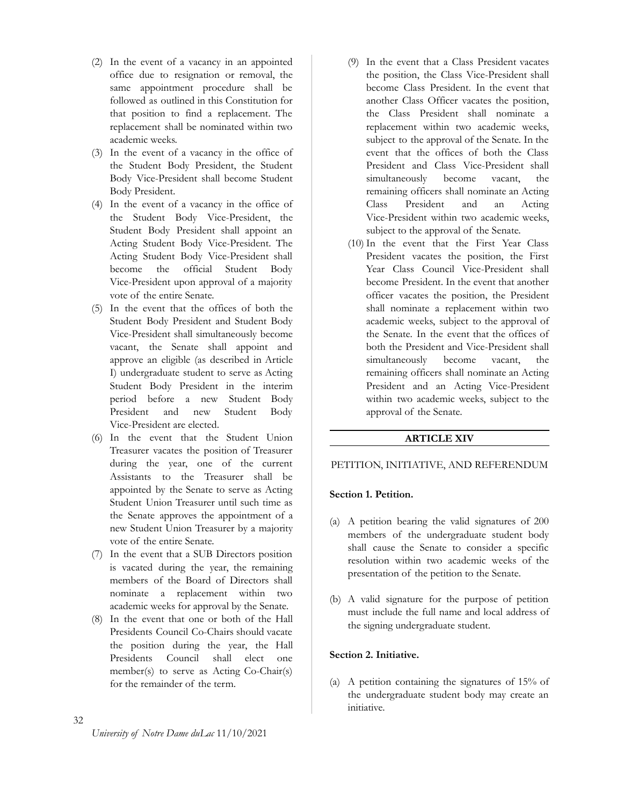- (2) In the event of a vacancy in an appointed office due to resignation or removal, the same appointment procedure shall be followed as outlined in this Constitution for that position to find a replacement. The replacement shall be nominated within two academic weeks.
- (3) In the event of a vacancy in the office of the Student Body President, the Student Body Vice-President shall become Student Body President.
- (4) In the event of a vacancy in the office of the Student Body Vice-President, the Student Body President shall appoint an Acting Student Body Vice-President. The Acting Student Body Vice-President shall become the official Student Body Vice-President upon approval of a majority vote of the entire Senate.
- (5) In the event that the offices of both the Student Body President and Student Body Vice-President shall simultaneously become vacant, the Senate shall appoint and approve an eligible (as described in Article I) undergraduate student to serve as Acting Student Body President in the interim period before a new Student Body President and new Student Body Vice-President are elected.
- (6) In the event that the Student Union Treasurer vacates the position of Treasurer during the year, one of the current Assistants to the Treasurer shall be appointed by the Senate to serve as Acting Student Union Treasurer until such time as the Senate approves the appointment of a new Student Union Treasurer by a majority vote of the entire Senate.
- (7) In the event that a SUB Directors position is vacated during the year, the remaining members of the Board of Directors shall nominate a replacement within two academic weeks for approval by the Senate.
- (8) In the event that one or both of the Hall Presidents Council Co-Chairs should vacate the position during the year, the Hall Presidents Council shall elect one member(s) to serve as Acting Co-Chair(s) for the remainder of the term.
- (9) In the event that a Class President vacates the position, the Class Vice-President shall become Class President. In the event that another Class Officer vacates the position, the Class President shall nominate a replacement within two academic weeks, subject to the approval of the Senate. In the event that the offices of both the Class President and Class Vice-President shall simultaneously become vacant, the remaining officers shall nominate an Acting Class President and an Acting Vice-President within two academic weeks, subject to the approval of the Senate.
- (10) In the event that the First Year Class President vacates the position, the First Year Class Council Vice-President shall become President. In the event that another officer vacates the position, the President shall nominate a replacement within two academic weeks, subject to the approval of the Senate. In the event that the offices of both the President and Vice-President shall simultaneously become vacant, the remaining officers shall nominate an Acting President and an Acting Vice-President within two academic weeks, subject to the approval of the Senate.

# **ARTICLE XIV**

# <span id="page-31-1"></span><span id="page-31-0"></span>PETITION, INITIATIVE, AND REFERENDUM

#### <span id="page-31-2"></span>**Section 1. Petition.**

- (a) A petition bearing the valid signatures of 200 members of the undergraduate student body shall cause the Senate to consider a specific resolution within two academic weeks of the presentation of the petition to the Senate.
- (b) A valid signature for the purpose of petition must include the full name and local address of the signing undergraduate student.

#### <span id="page-31-3"></span>**Section 2. Initiative.**

(a) A petition containing the signatures of 15% of the undergraduate student body may create an initiative.

# 32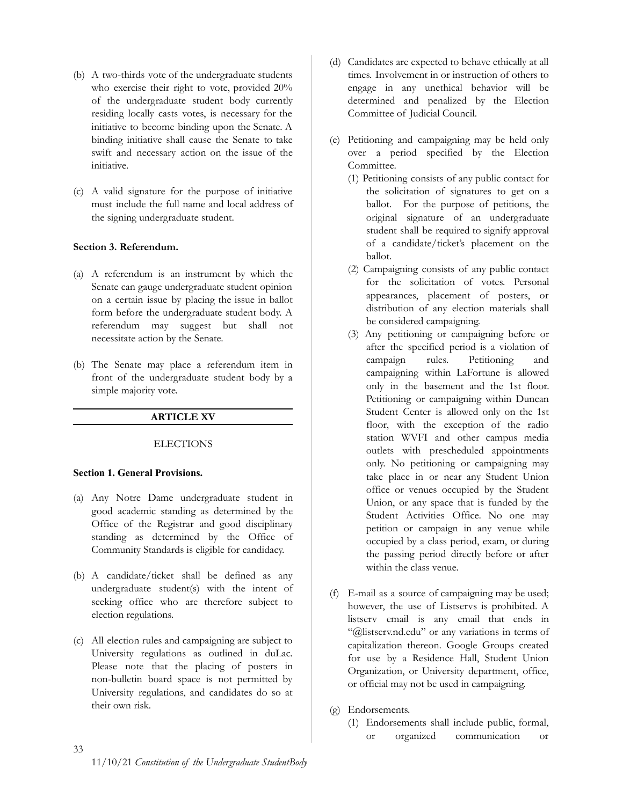- (b) A two-thirds vote of the undergraduate students who exercise their right to vote, provided 20% of the undergraduate student body currently residing locally casts votes, is necessary for the initiative to become binding upon the Senate. A binding initiative shall cause the Senate to take swift and necessary action on the issue of the initiative.
- (c) A valid signature for the purpose of initiative must include the full name and local address of the signing undergraduate student.

# <span id="page-32-0"></span>**Section 3. Referendum.**

- (a) A referendum is an instrument by which the Senate can gauge undergraduate student opinion on a certain issue by placing the issue in ballot form before the undergraduate student body. A referendum may suggest but shall not necessitate action by the Senate.
- <span id="page-32-1"></span>(b) The Senate may place a referendum item in front of the undergraduate student body by a simple majority vote.

# **ARTICLE XV**

# **ELECTIONS**

# <span id="page-32-3"></span><span id="page-32-2"></span>**Section 1. General Provisions.**

- (a) Any Notre Dame undergraduate student in good academic standing as determined by the Office of the Registrar and good disciplinary standing as determined by the Office of Community Standards is eligible for candidacy.
- (b) A candidate/ticket shall be defined as any undergraduate student(s) with the intent of seeking office who are therefore subject to election regulations.
- (c) All election rules and campaigning are subject to University regulations as outlined in duLac. Please note that the placing of posters in non-bulletin board space is not permitted by University regulations, and candidates do so at their own risk.
- (d) Candidates are expected to behave ethically at all times. Involvement in or instruction of others to engage in any unethical behavior will be determined and penalized by the Election Committee of Judicial Council.
- (e) Petitioning and campaigning may be held only over a period specified by the Election Committee.
	- (1) Petitioning consists of any public contact for the solicitation of signatures to get on a ballot. For the purpose of petitions, the original signature of an undergraduate student shall be required to signify approval of a candidate/ticket's placement on the ballot.
	- (2) Campaigning consists of any public contact for the solicitation of votes. Personal appearances, placement of posters, or distribution of any election materials shall be considered campaigning.
	- (3) Any petitioning or campaigning before or after the specified period is a violation of campaign rules. Petitioning and campaigning within LaFortune is allowed only in the basement and the 1st floor. Petitioning or campaigning within Duncan Student Center is allowed only on the 1st floor, with the exception of the radio station WVFI and other campus media outlets with prescheduled appointments only. No petitioning or campaigning may take place in or near any Student Union office or venues occupied by the Student Union, or any space that is funded by the Student Activities Office. No one may petition or campaign in any venue while occupied by a class period, exam, or during the passing period directly before or after within the class venue.
- (f) E-mail as a source of campaigning may be used; however, the use of Listservs is prohibited. A listserv email is any email that ends in "@listserv.nd.edu" or any variations in terms of capitalization thereon. Google Groups created for use by a Residence Hall, Student Union Organization, or University department, office, or official may not be used in campaigning.
- (g) Endorsements.
	- (1) Endorsements shall include public, formal, or organized communication or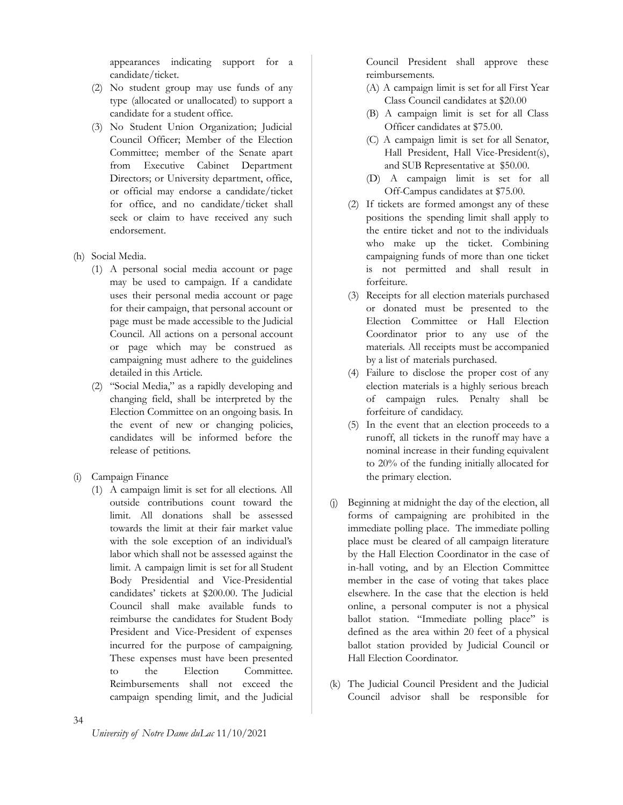appearances indicating support for a candidate/ticket.

- (2) No student group may use funds of any type (allocated or unallocated) to support a candidate for a student office.
- (3) No Student Union Organization; Judicial Council Officer; Member of the Election Committee; member of the Senate apart from Executive Cabinet Department Directors; or University department, office, or official may endorse a candidate/ticket for office, and no candidate/ticket shall seek or claim to have received any such endorsement.
- (h) Social Media.
	- (1) A personal social media account or page may be used to campaign. If a candidate uses their personal media account or page for their campaign, that personal account or page must be made accessible to the Judicial Council. All actions on a personal account or page which may be construed as campaigning must adhere to the guidelines detailed in this Article.
	- (2) "Social Media," as a rapidly developing and changing field, shall be interpreted by the Election Committee on an ongoing basis. In the event of new or changing policies, candidates will be informed before the release of petitions.
- (i) Campaign Finance
	- (1) A campaign limit is set for all elections. All outside contributions count toward the limit. All donations shall be assessed towards the limit at their fair market value with the sole exception of an individual's labor which shall not be assessed against the limit. A campaign limit is set for all Student Body Presidential and Vice-Presidential candidates' tickets at \$200.00. The Judicial Council shall make available funds to reimburse the candidates for Student Body President and Vice-President of expenses incurred for the purpose of campaigning. These expenses must have been presented to the Election Committee. Reimbursements shall not exceed the campaign spending limit, and the Judicial

Council President shall approve these reimbursements.

- (A) A campaign limit is set for all First Year Class Council candidates at \$20.00
- (B) A campaign limit is set for all Class Officer candidates at \$75.00.
- (C) A campaign limit is set for all Senator, Hall President, Hall Vice-President(s), and SUB Representative at \$50.00.
- (D) A campaign limit is set for all Off-Campus candidates at \$75.00.
- (2) If tickets are formed amongst any of these positions the spending limit shall apply to the entire ticket and not to the individuals who make up the ticket. Combining campaigning funds of more than one ticket is not permitted and shall result in forfeiture.
- (3) Receipts for all election materials purchased or donated must be presented to the Election Committee or Hall Election Coordinator prior to any use of the materials. All receipts must be accompanied by a list of materials purchased.
- (4) Failure to disclose the proper cost of any election materials is a highly serious breach of campaign rules. Penalty shall be forfeiture of candidacy.
- (5) In the event that an election proceeds to a runoff, all tickets in the runoff may have a nominal increase in their funding equivalent to 20% of the funding initially allocated for the primary election.
- (j) Beginning at midnight the day of the election, all forms of campaigning are prohibited in the immediate polling place. The immediate polling place must be cleared of all campaign literature by the Hall Election Coordinator in the case of in-hall voting, and by an Election Committee member in the case of voting that takes place elsewhere. In the case that the election is held online, a personal computer is not a physical ballot station. "Immediate polling place" is defined as the area within 20 feet of a physical ballot station provided by Judicial Council or Hall Election Coordinator.
- (k) The Judicial Council President and the Judicial Council advisor shall be responsible for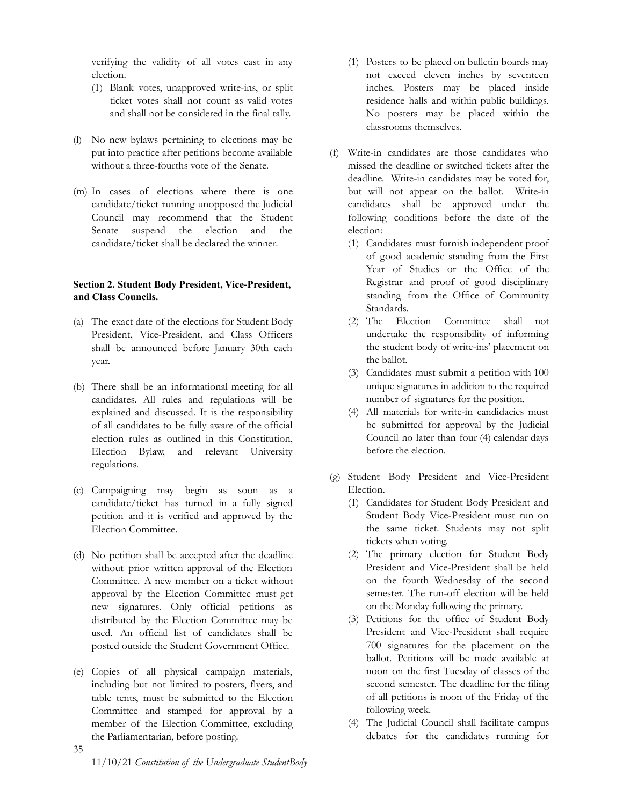verifying the validity of all votes cast in any election.

- (1) Blank votes, unapproved write-ins, or split ticket votes shall not count as valid votes and shall not be considered in the final tally.
- (l) No new bylaws pertaining to elections may be put into practice after petitions become available without a three-fourths vote of the Senate.
- (m) In cases of elections where there is one candidate/ticket running unopposed the Judicial Council may recommend that the Student Senate suspend the election and the candidate/ticket shall be declared the winner.

# <span id="page-34-0"></span>**Section 2. Student Body President, Vice-President, and Class Councils.**

- (a) The exact date of the elections for Student Body President, Vice-President, and Class Officers shall be announced before January 30th each year.
- (b) There shall be an informational meeting for all candidates. All rules and regulations will be explained and discussed. It is the responsibility of all candidates to be fully aware of the official election rules as outlined in this Constitution, Election Bylaw, and relevant University regulations.
- (c) Campaigning may begin as soon as a candidate/ticket has turned in a fully signed petition and it is verified and approved by the Election Committee.
- (d) No petition shall be accepted after the deadline without prior written approval of the Election Committee. A new member on a ticket without approval by the Election Committee must get new signatures. Only official petitions as distributed by the Election Committee may be used. An official list of candidates shall be posted outside the Student Government Office.
- (e) Copies of all physical campaign materials, including but not limited to posters, flyers, and table tents, must be submitted to the Election Committee and stamped for approval by a member of the Election Committee, excluding the Parliamentarian, before posting.
- (1) Posters to be placed on bulletin boards may not exceed eleven inches by seventeen inches. Posters may be placed inside residence halls and within public buildings. No posters may be placed within the classrooms themselves.
- (f) Write-in candidates are those candidates who missed the deadline or switched tickets after the deadline. Write-in candidates may be voted for, but will not appear on the ballot. Write-in candidates shall be approved under the following conditions before the date of the election:
	- (1) Candidates must furnish independent proof of good academic standing from the First Year of Studies or the Office of the Registrar and proof of good disciplinary standing from the Office of Community Standards.
	- (2) The Election Committee shall not undertake the responsibility of informing the student body of write-ins' placement on the ballot.
	- (3) Candidates must submit a petition with 100 unique signatures in addition to the required number of signatures for the position.
	- (4) All materials for write-in candidacies must be submitted for approval by the Judicial Council no later than four (4) calendar days before the election.
- (g) Student Body President and Vice-President Election.
	- (1) Candidates for Student Body President and Student Body Vice-President must run on the same ticket. Students may not split tickets when voting.
	- (2) The primary election for Student Body President and Vice-President shall be held on the fourth Wednesday of the second semester. The run-off election will be held on the Monday following the primary.
	- (3) Petitions for the office of Student Body President and Vice-President shall require 700 signatures for the placement on the ballot. Petitions will be made available at noon on the first Tuesday of classes of the second semester. The deadline for the filing of all petitions is noon of the Friday of the following week.
	- (4) The Judicial Council shall facilitate campus debates for the candidates running for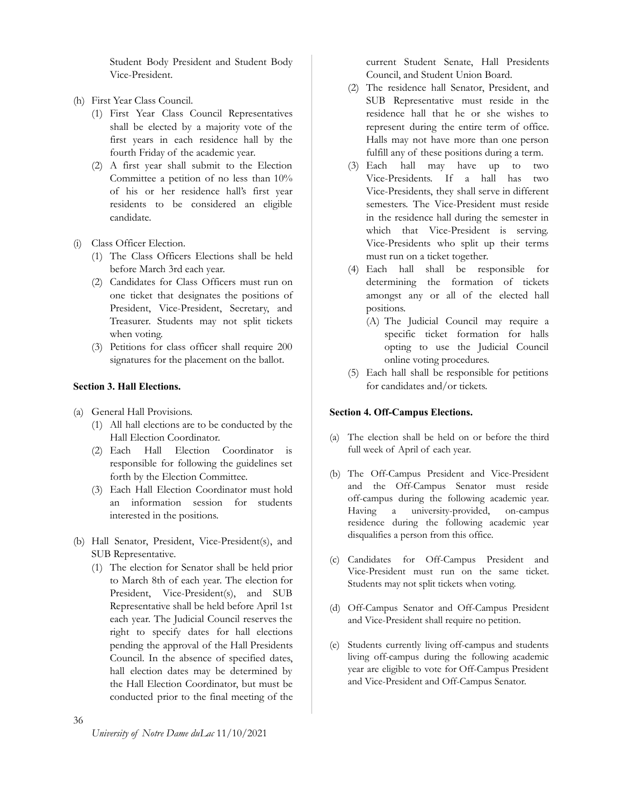Student Body President and Student Body Vice-President.

- (h) First Year Class Council.
	- (1) First Year Class Council Representatives shall be elected by a majority vote of the first years in each residence hall by the fourth Friday of the academic year.
	- (2) A first year shall submit to the Election Committee a petition of no less than 10% of his or her residence hall's first year residents to be considered an eligible candidate.
- (i) Class Officer Election.
	- (1) The Class Officers Elections shall be held before March 3rd each year.
	- (2) Candidates for Class Officers must run on one ticket that designates the positions of President, Vice-President, Secretary, and Treasurer. Students may not split tickets when voting.
	- (3) Petitions for class officer shall require 200 signatures for the placement on the ballot.

# <span id="page-35-0"></span>**Section 3. Hall Elections.**

- (a) General Hall Provisions.
	- (1) All hall elections are to be conducted by the Hall Election Coordinator.
	- (2) Each Hall Election Coordinator is responsible for following the guidelines set forth by the Election Committee.
	- (3) Each Hall Election Coordinator must hold an information session for students interested in the positions.
- (b) Hall Senator, President, Vice-President(s), and SUB Representative.
	- (1) The election for Senator shall be held prior to March 8th of each year. The election for President, Vice-President(s), and SUB Representative shall be held before April 1st each year. The Judicial Council reserves the right to specify dates for hall elections pending the approval of the Hall Presidents Council. In the absence of specified dates, hall election dates may be determined by the Hall Election Coordinator, but must be conducted prior to the final meeting of the

current Student Senate, Hall Presidents Council, and Student Union Board.

- (2) The residence hall Senator, President, and SUB Representative must reside in the residence hall that he or she wishes to represent during the entire term of office. Halls may not have more than one person fulfill any of these positions during a term.
- (3) Each hall may have up to two Vice-Presidents. If a hall has two Vice-Presidents, they shall serve in different semesters. The Vice-President must reside in the residence hall during the semester in which that Vice-President is serving. Vice-Presidents who split up their terms must run on a ticket together.
- (4) Each hall shall be responsible for determining the formation of tickets amongst any or all of the elected hall positions.
	- (A) The Judicial Council may require a specific ticket formation for halls opting to use the Judicial Council online voting procedures.
- (5) Each hall shall be responsible for petitions for candidates and/or tickets.

# <span id="page-35-1"></span>**Section 4. Off-Campus Elections.**

- (a) The election shall be held on or before the third full week of April of each year.
- (b) The Off-Campus President and Vice-President and the Off-Campus Senator must reside off-campus during the following academic year. Having a university-provided, on-campus residence during the following academic year disqualifies a person from this office.
- (c) Candidates for Off-Campus President and Vice-President must run on the same ticket. Students may not split tickets when voting.
- (d) Off-Campus Senator and Off-Campus President and Vice-President shall require no petition.
- (e) Students currently living off-campus and students living off-campus during the following academic year are eligible to vote for Off-Campus President and Vice-President and Off-Campus Senator.

36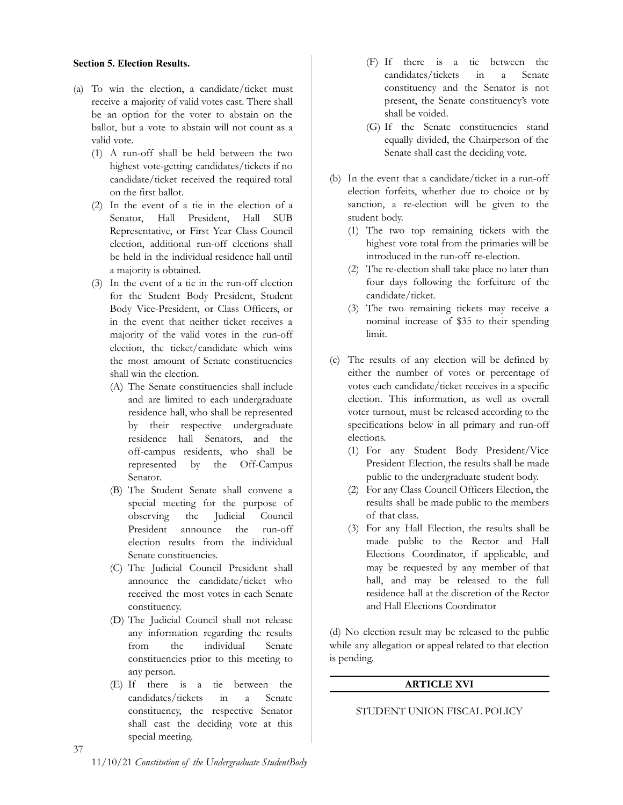#### <span id="page-36-0"></span>**Section 5. Election Results.**

- (a) To win the election, a candidate/ticket must receive a majority of valid votes cast. There shall be an option for the voter to abstain on the ballot, but a vote to abstain will not count as a valid vote.
	- (1) A run-off shall be held between the two highest vote-getting candidates/tickets if no candidate/ticket received the required total on the first ballot.
	- (2) In the event of a tie in the election of a Senator, Hall President, Hall SUB Representative, or First Year Class Council election, additional run-off elections shall be held in the individual residence hall until a majority is obtained.
	- (3) In the event of a tie in the run-off election for the Student Body President, Student Body Vice-President, or Class Officers, or in the event that neither ticket receives a majority of the valid votes in the run-off election, the ticket/candidate which wins the most amount of Senate constituencies shall win the election.
		- (A) The Senate constituencies shall include and are limited to each undergraduate residence hall, who shall be represented by their respective undergraduate residence hall Senators, and the off-campus residents, who shall be represented by the Off-Campus Senator.
		- (B) The Student Senate shall convene a special meeting for the purpose of observing the Judicial Council President announce the run-off election results from the individual Senate constituencies.
		- (C) The Judicial Council President shall announce the candidate/ticket who received the most votes in each Senate constituency.
		- (D) The Judicial Council shall not release any information regarding the results from the individual Senate constituencies prior to this meeting to any person.
		- (E) If there is a tie between the candidates/tickets in a Senate constituency, the respective Senator shall cast the deciding vote at this special meeting.
- (F) If there is a tie between the candidates/tickets in a Senate constituency and the Senator is not present, the Senate constituency's vote shall be voided.
- (G) If the Senate constituencies stand equally divided, the Chairperson of the Senate shall cast the deciding vote.
- (b) In the event that a candidate/ticket in a run-off election forfeits, whether due to choice or by sanction, a re-election will be given to the student body.
	- (1) The two top remaining tickets with the highest vote total from the primaries will be introduced in the run-off re-election.
	- (2) The re-election shall take place no later than four days following the forfeiture of the candidate/ticket.
	- (3) The two remaining tickets may receive a nominal increase of \$35 to their spending limit.
- (c) The results of any election will be defined by either the number of votes or percentage of votes each candidate/ticket receives in a specific election. This information, as well as overall voter turnout, must be released according to the specifications below in all primary and run-off elections.
	- (1) For any Student Body President/Vice President Election, the results shall be made public to the undergraduate student body.
	- (2) For any Class Council Officers Election, the results shall be made public to the members of that class.
	- (3) For any Hall Election, the results shall be made public to the Rector and Hall Elections Coordinator, if applicable, and may be requested by any member of that hall, and may be released to the full residence hall at the discretion of the Rector and Hall Elections Coordinator

<span id="page-36-1"></span>(d) No election result may be released to the public while any allegation or appeal related to that election is pending.

# **ARTICLE XVI**

# <span id="page-36-2"></span>STUDENT UNION FISCAL POLICY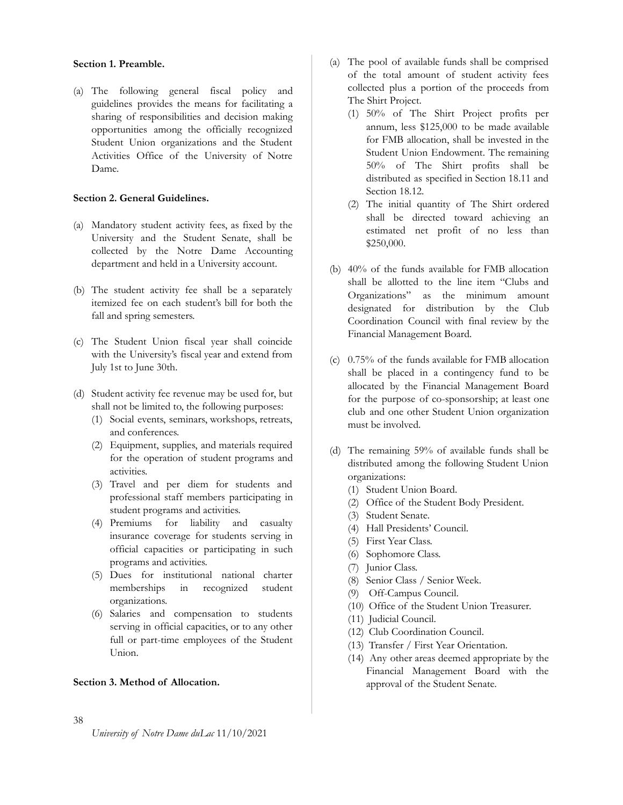#### <span id="page-37-0"></span>**Section 1. Preamble.**

(a) The following general fiscal policy and guidelines provides the means for facilitating a sharing of responsibilities and decision making opportunities among the officially recognized Student Union organizations and the Student Activities Office of the University of Notre Dame.

# <span id="page-37-1"></span>**Section 2. General Guidelines.**

- (a) Mandatory student activity fees, as fixed by the University and the Student Senate, shall be collected by the Notre Dame Accounting department and held in a University account.
- (b) The student activity fee shall be a separately itemized fee on each student's bill for both the fall and spring semesters.
- (c) The Student Union fiscal year shall coincide with the University's fiscal year and extend from July 1st to June 30th.
- (d) Student activity fee revenue may be used for, but shall not be limited to, the following purposes:
	- (1) Social events, seminars, workshops, retreats, and conferences.
	- (2) Equipment, supplies, and materials required for the operation of student programs and activities.
	- (3) Travel and per diem for students and professional staff members participating in student programs and activities.
	- (4) Premiums for liability and casualty insurance coverage for students serving in official capacities or participating in such programs and activities.
	- (5) Dues for institutional national charter memberships in recognized student organizations.
	- (6) Salaries and compensation to students serving in official capacities, or to any other full or part-time employees of the Student Union.

## <span id="page-37-2"></span>**Section 3. Method of Allocation.**

- (a) The pool of available funds shall be comprised of the total amount of student activity fees collected plus a portion of the proceeds from The Shirt Project.
	- (1) 50% of The Shirt Project profits per annum, less \$125,000 to be made available for FMB allocation, shall be invested in the Student Union Endowment. The remaining 50% of The Shirt profits shall be distributed as specified in Section 18.11 and Section 18.12.
	- (2) The initial quantity of The Shirt ordered shall be directed toward achieving an estimated net profit of no less than \$250,000.
- (b) 40% of the funds available for FMB allocation shall be allotted to the line item "Clubs and Organizations" as the minimum amount designated for distribution by the Club Coordination Council with final review by the Financial Management Board.
- (c) 0.75% of the funds available for FMB allocation shall be placed in a contingency fund to be allocated by the Financial Management Board for the purpose of co-sponsorship; at least one club and one other Student Union organization must be involved.
- (d) The remaining 59% of available funds shall be distributed among the following Student Union organizations:
	- (1) Student Union Board.
	- (2) Office of the Student Body President.
	- (3) Student Senate.
	- (4) Hall Presidents' Council.
	- (5) First Year Class.
	- (6) Sophomore Class.
	- (7) Junior Class.
	- (8) Senior Class / Senior Week.
	- (9) Off-Campus Council.
	- (10) Office of the Student Union Treasurer.
	- (11) Judicial Council.
	- (12) Club Coordination Council.
	- (13) Transfer / First Year Orientation.
	- (14) Any other areas deemed appropriate by the Financial Management Board with the approval of the Student Senate.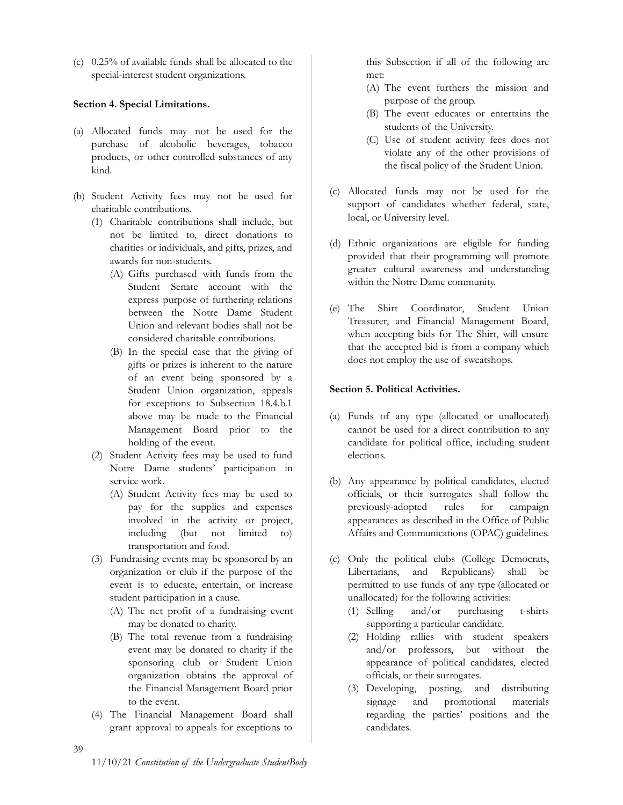(e) 0.25% of available funds shall be allocated to the special-interest student organizations.

# <span id="page-38-0"></span>**Section 4. Special Limitations.**

- (a) Allocated funds may not be used for the purchase of alcoholic beverages, tobacco products, or other controlled substances of any kind.
- (b) Student Activity fees may not be used for charitable contributions.
	- (1) Charitable contributions shall include, but not be limited to, direct donations to charities or individuals, and gifts, prizes, and awards for non-students.
		- (A) Gifts purchased with funds from the Student Senate account with the express purpose of furthering relations between the Notre Dame Student Union and relevant bodies shall not be considered charitable contributions.
		- (B) In the special case that the giving of gifts or prizes is inherent to the nature of an event being sponsored by a Student Union organization, appeals for exceptions to Subsection 18.4.b.1 above may be made to the Financial Management Board prior to the holding of the event.
	- (2) Student Activity fees may be used to fund Notre Dame students' participation in service work.
		- (A) Student Activity fees may be used to pay for the supplies and expenses involved in the activity or project, including (but not limited to) transportation and food.
	- (3) Fundraising events may be sponsored by an organization or club if the purpose of the event is to educate, entertain, or increase student participation in a cause.
		- (A) The net profit of a fundraising event may be donated to charity.
		- (B) The total revenue from a fundraising event may be donated to charity if the sponsoring club or Student Union organization obtains the approval of the Financial Management Board prior to the event.
	- (4) The Financial Management Board shall grant approval to appeals for exceptions to

this Subsection if all of the following are met:

- (A) The event furthers the mission and purpose of the group.
- (B) The event educates or entertains the students of the University.
- (C) Use of student activity fees does not violate any of the other provisions of the fiscal policy of the Student Union.
- (c) Allocated funds may not be used for the support of candidates whether federal, state, local, or University level.
- (d) Ethnic organizations are eligible for funding provided that their programming will promote greater cultural awareness and understanding within the Notre Dame community.
- (e) The Shirt Coordinator, Student Union Treasurer, and Financial Management Board, when accepting bids for The Shirt, will ensure that the accepted bid is from a company which does not employ the use of sweatshops.

# <span id="page-38-1"></span>**Section 5. Political Activities.**

- (a) Funds of any type (allocated or unallocated) cannot be used for a direct contribution to any candidate for political office, including student elections.
- (b) Any appearance by political candidates, elected officials, or their surrogates shall follow the previously-adopted rules for campaign appearances as described in the Office of Public Affairs and Communications (OPAC) guidelines.
- (c) Only the political clubs (College Democrats, Libertarians, and Republicans) shall be permitted to use funds of any type (allocated or unallocated) for the following activities:
	- (1) Selling and/or purchasing t-shirts supporting a particular candidate.
	- (2) Holding rallies with student speakers and/or professors, but without the appearance of political candidates, elected officials, or their surrogates.
	- (3) Developing, posting, and distributing signage and promotional materials regarding the parties' positions and the candidates.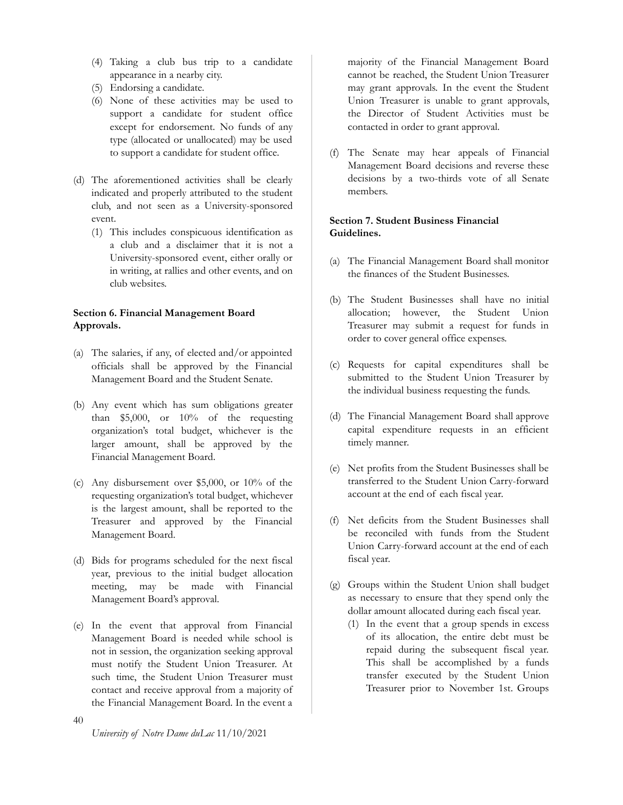- (4) Taking a club bus trip to a candidate appearance in a nearby city.
- (5) Endorsing a candidate.
- (6) None of these activities may be used to support a candidate for student office except for endorsement. No funds of any type (allocated or unallocated) may be used to support a candidate for student office.
- (d) The aforementioned activities shall be clearly indicated and properly attributed to the student club, and not seen as a University-sponsored event.
	- (1) This includes conspicuous identification as a club and a disclaimer that it is not a University-sponsored event, either orally or in writing, at rallies and other events, and on club websites.

# <span id="page-39-0"></span>**Section 6. Financial Management Board Approvals.**

- (a) The salaries, if any, of elected and/or appointed officials shall be approved by the Financial Management Board and the Student Senate.
- (b) Any event which has sum obligations greater than \$5,000, or 10% of the requesting organization's total budget, whichever is the larger amount, shall be approved by the Financial Management Board.
- (c) Any disbursement over \$5,000, or 10% of the requesting organization's total budget, whichever is the largest amount, shall be reported to the Treasurer and approved by the Financial Management Board.
- (d) Bids for programs scheduled for the next fiscal year, previous to the initial budget allocation meeting, may be made with Financial Management Board's approval.
- (e) In the event that approval from Financial Management Board is needed while school is not in session, the organization seeking approval must notify the Student Union Treasurer. At such time, the Student Union Treasurer must contact and receive approval from a majority of the Financial Management Board. In the event a

majority of the Financial Management Board cannot be reached, the Student Union Treasurer may grant approvals. In the event the Student Union Treasurer is unable to grant approvals, the Director of Student Activities must be contacted in order to grant approval.

(f) The Senate may hear appeals of Financial Management Board decisions and reverse these decisions by a two-thirds vote of all Senate members.

# <span id="page-39-1"></span>**Section 7. Student Business Financial Guidelines.**

- (a) The Financial Management Board shall monitor the finances of the Student Businesses.
- (b) The Student Businesses shall have no initial allocation; however, the Student Union Treasurer may submit a request for funds in order to cover general office expenses.
- (c) Requests for capital expenditures shall be submitted to the Student Union Treasurer by the individual business requesting the funds.
- (d) The Financial Management Board shall approve capital expenditure requests in an efficient timely manner.
- (e) Net profits from the Student Businesses shall be transferred to the Student Union Carry-forward account at the end of each fiscal year.
- (f) Net deficits from the Student Businesses shall be reconciled with funds from the Student Union Carry-forward account at the end of each fiscal year.
- (g) Groups within the Student Union shall budget as necessary to ensure that they spend only the dollar amount allocated during each fiscal year.
	- (1) In the event that a group spends in excess of its allocation, the entire debt must be repaid during the subsequent fiscal year. This shall be accomplished by a funds transfer executed by the Student Union Treasurer prior to November 1st. Groups

40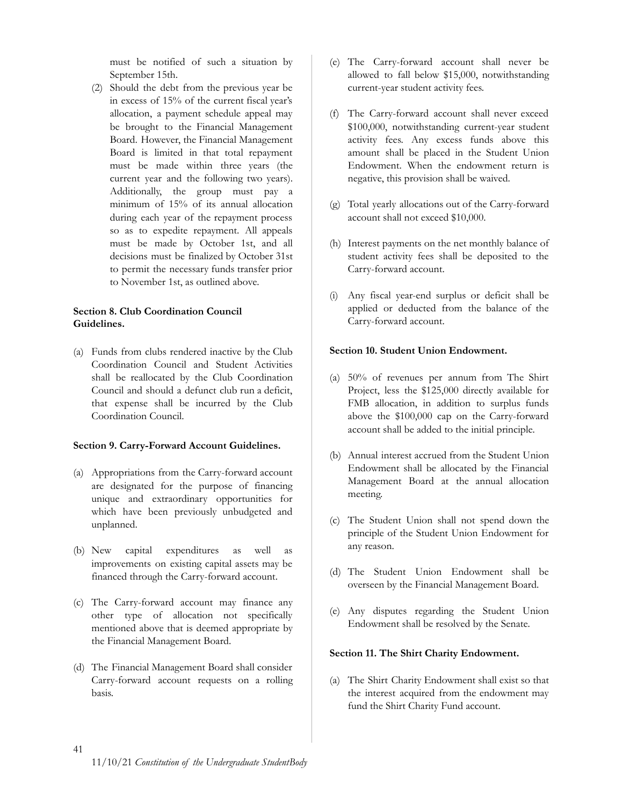must be notified of such a situation by September 15th.

(2) Should the debt from the previous year be in excess of 15% of the current fiscal year's allocation, a payment schedule appeal may be brought to the Financial Management Board. However, the Financial Management Board is limited in that total repayment must be made within three years (the current year and the following two years). Additionally, the group must pay a minimum of 15% of its annual allocation during each year of the repayment process so as to expedite repayment. All appeals must be made by October 1st, and all decisions must be finalized by October 31st to permit the necessary funds transfer prior to November 1st, as outlined above.

# <span id="page-40-0"></span>**Section 8. Club Coordination Council Guidelines.**

(a) Funds from clubs rendered inactive by the Club Coordination Council and Student Activities shall be reallocated by the Club Coordination Council and should a defunct club run a deficit, that expense shall be incurred by the Club Coordination Council.

# <span id="page-40-1"></span>**Section 9. Carry-Forward Account Guidelines.**

- (a) Appropriations from the Carry-forward account are designated for the purpose of financing unique and extraordinary opportunities for which have been previously unbudgeted and unplanned.
- (b) New capital expenditures as well as improvements on existing capital assets may be financed through the Carry-forward account.
- (c) The Carry-forward account may finance any other type of allocation not specifically mentioned above that is deemed appropriate by the Financial Management Board.
- (d) The Financial Management Board shall consider Carry-forward account requests on a rolling basis.
- (e) The Carry-forward account shall never be allowed to fall below \$15,000, notwithstanding current-year student activity fees.
- (f) The Carry-forward account shall never exceed \$100,000, notwithstanding current-year student activity fees. Any excess funds above this amount shall be placed in the Student Union Endowment. When the endowment return is negative, this provision shall be waived.
- (g) Total yearly allocations out of the Carry-forward account shall not exceed \$10,000.
- (h) Interest payments on the net monthly balance of student activity fees shall be deposited to the Carry-forward account.
- (i) Any fiscal year-end surplus or deficit shall be applied or deducted from the balance of the Carry-forward account.

# <span id="page-40-2"></span>**Section 10. Student Union Endowment.**

- (a) 50% of revenues per annum from The Shirt Project, less the \$125,000 directly available for FMB allocation, in addition to surplus funds above the \$100,000 cap on the Carry-forward account shall be added to the initial principle.
- (b) Annual interest accrued from the Student Union Endowment shall be allocated by the Financial Management Board at the annual allocation meeting.
- (c) The Student Union shall not spend down the principle of the Student Union Endowment for any reason.
- (d) The Student Union Endowment shall be overseen by the Financial Management Board.
- (e) Any disputes regarding the Student Union Endowment shall be resolved by the Senate.

# <span id="page-40-3"></span>**Section 11. The Shirt Charity Endowment.**

(a) The Shirt Charity Endowment shall exist so that the interest acquired from the endowment may fund the Shirt Charity Fund account.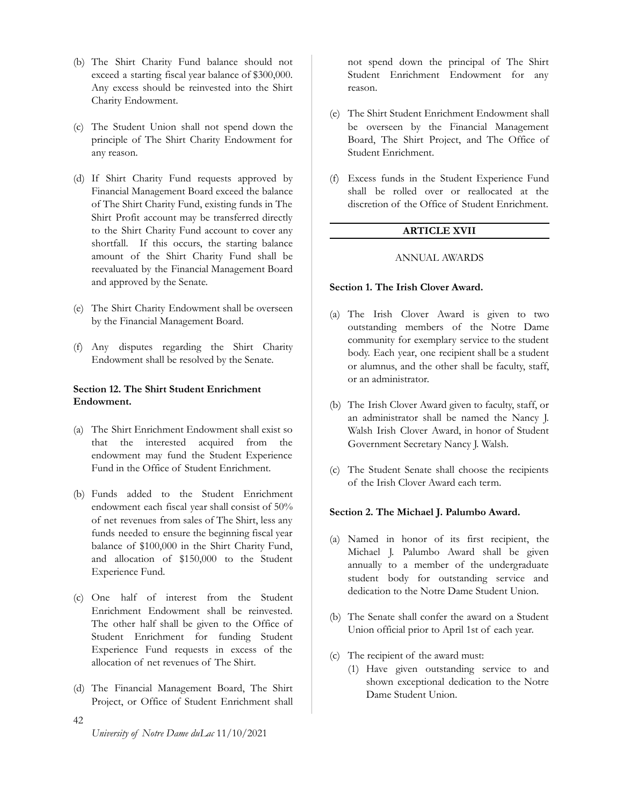- (b) The Shirt Charity Fund balance should not exceed a starting fiscal year balance of \$300,000. Any excess should be reinvested into the Shirt Charity Endowment.
- (c) The Student Union shall not spend down the principle of The Shirt Charity Endowment for any reason.
- (d) If Shirt Charity Fund requests approved by Financial Management Board exceed the balance of The Shirt Charity Fund, existing funds in The Shirt Profit account may be transferred directly to the Shirt Charity Fund account to cover any shortfall. If this occurs, the starting balance amount of the Shirt Charity Fund shall be reevaluated by the Financial Management Board and approved by the Senate.
- (e) The Shirt Charity Endowment shall be overseen by the Financial Management Board.
- (f) Any disputes regarding the Shirt Charity Endowment shall be resolved by the Senate.

# <span id="page-41-0"></span>**Section 12. The Shirt Student Enrichment Endowment.**

- (a) The Shirt Enrichment Endowment shall exist so that the interested acquired from the endowment may fund the Student Experience Fund in the Office of Student Enrichment.
- (b) Funds added to the Student Enrichment endowment each fiscal year shall consist of 50% of net revenues from sales of The Shirt, less any funds needed to ensure the beginning fiscal year balance of \$100,000 in the Shirt Charity Fund, and allocation of \$150,000 to the Student Experience Fund.
- (c) One half of interest from the Student Enrichment Endowment shall be reinvested. The other half shall be given to the Office of Student Enrichment for funding Student Experience Fund requests in excess of the allocation of net revenues of The Shirt.
- (d) The Financial Management Board, The Shirt Project, or Office of Student Enrichment shall

not spend down the principal of The Shirt Student Enrichment Endowment for any reason.

- (e) The Shirt Student Enrichment Endowment shall be overseen by the Financial Management Board, The Shirt Project, and The Office of Student Enrichment.
- <span id="page-41-1"></span>(f) Excess funds in the Student Experience Fund shall be rolled over or reallocated at the discretion of the Office of Student Enrichment.

#### **ARTICLE XVII**

#### ANNUAL AWARDS

#### <span id="page-41-3"></span><span id="page-41-2"></span>**Section 1. The Irish Clover Award.**

- (a) The Irish Clover Award is given to two outstanding members of the Notre Dame community for exemplary service to the student body. Each year, one recipient shall be a student or alumnus, and the other shall be faculty, staff, or an administrator.
- (b) The Irish Clover Award given to faculty, staff, or an administrator shall be named the Nancy J. Walsh Irish Clover Award, in honor of Student Government Secretary Nancy J. Walsh.
- (c) The Student Senate shall choose the recipients of the Irish Clover Award each term.

#### <span id="page-41-4"></span>**Section 2. The Michael J. Palumbo Award.**

- (a) Named in honor of its first recipient, the Michael J. Palumbo Award shall be given annually to a member of the undergraduate student body for outstanding service and dedication to the Notre Dame Student Union.
- (b) The Senate shall confer the award on a Student Union official prior to April 1st of each year.
- (c) The recipient of the award must:
	- (1) Have given outstanding service to and shown exceptional dedication to the Notre Dame Student Union.

42